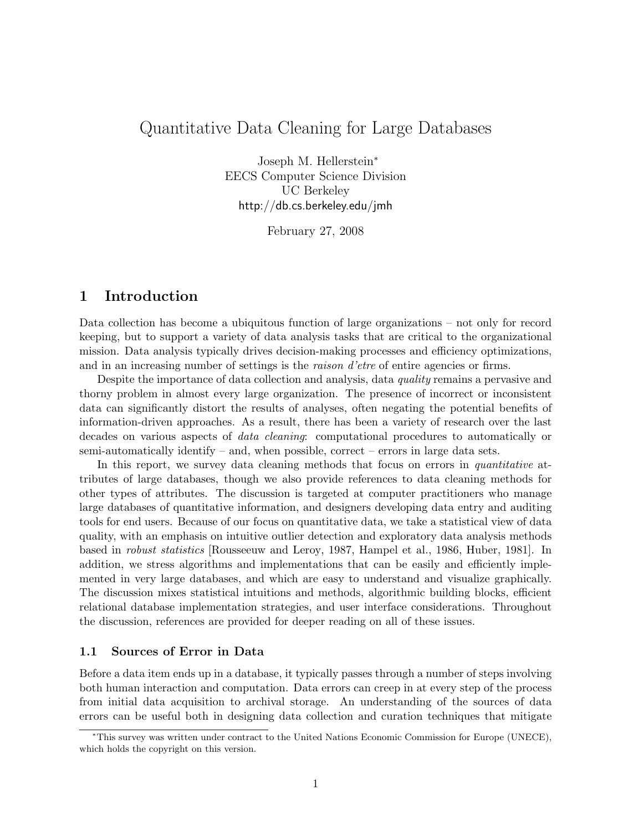# Quantitative Data Cleaning for Large Databases

Joseph M. Hellerstein<sup>∗</sup> EECS Computer Science Division UC Berkeley http://db.cs.berkeley.edu/jmh

February 27, 2008

# 1 Introduction

Data collection has become a ubiquitous function of large organizations – not only for record keeping, but to support a variety of data analysis tasks that are critical to the organizational mission. Data analysis typically drives decision-making processes and efficiency optimizations, and in an increasing number of settings is the *raison d'etre* of entire agencies or firms.

Despite the importance of data collection and analysis, data *quality* remains a pervasive and thorny problem in almost every large organization. The presence of incorrect or inconsistent data can significantly distort the results of analyses, often negating the potential benefits of information-driven approaches. As a result, there has been a variety of research over the last decades on various aspects of data cleaning: computational procedures to automatically or semi-automatically identify – and, when possible, correct – errors in large data sets.

In this report, we survey data cleaning methods that focus on errors in *quantitative* attributes of large databases, though we also provide references to data cleaning methods for other types of attributes. The discussion is targeted at computer practitioners who manage large databases of quantitative information, and designers developing data entry and auditing tools for end users. Because of our focus on quantitative data, we take a statistical view of data quality, with an emphasis on intuitive outlier detection and exploratory data analysis methods based in robust statistics [Rousseeuw and Leroy, 1987, Hampel et al., 1986, Huber, 1981]. In addition, we stress algorithms and implementations that can be easily and efficiently implemented in very large databases, and which are easy to understand and visualize graphically. The discussion mixes statistical intuitions and methods, algorithmic building blocks, efficient relational database implementation strategies, and user interface considerations. Throughout the discussion, references are provided for deeper reading on all of these issues.

## 1.1 Sources of Error in Data

Before a data item ends up in a database, it typically passes through a number of steps involving both human interaction and computation. Data errors can creep in at every step of the process from initial data acquisition to archival storage. An understanding of the sources of data errors can be useful both in designing data collection and curation techniques that mitigate

<sup>∗</sup>This survey was written under contract to the United Nations Economic Commission for Europe (UNECE), which holds the copyright on this version.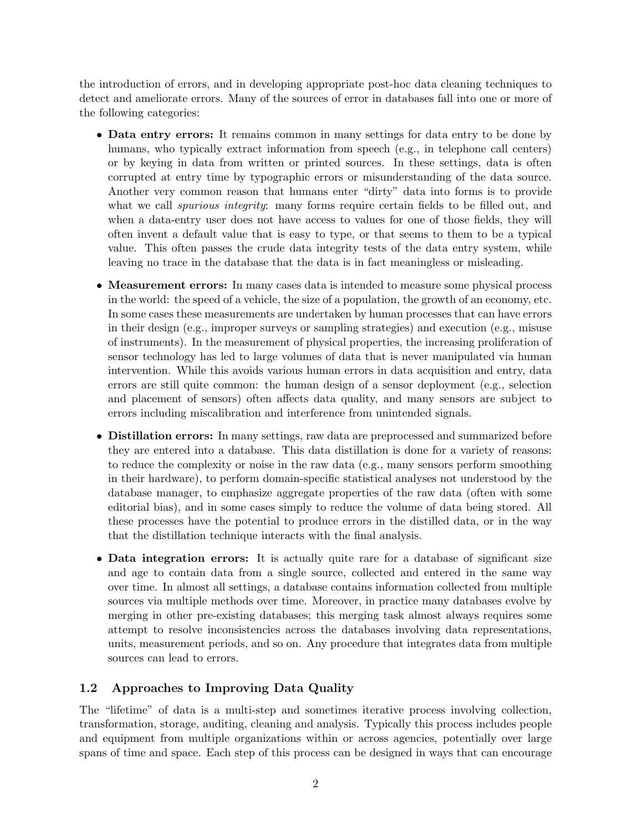the introduction of errors, and in developing appropriate post-hoc data cleaning techniques to detect and ameliorate errors. Many of the sources of error in databases fall into one or more of the following categories:

- Data entry errors: It remains common in many settings for data entry to be done by humans, who typically extract information from speech (e.g., in telephone call centers) or by keying in data from written or printed sources. In these settings, data is often corrupted at entry time by typographic errors or misunderstanding of the data source. Another very common reason that humans enter "dirty" data into forms is to provide what we call *spurious integrity*: many forms require certain fields to be filled out, and when a data-entry user does not have access to values for one of those fields, they will often invent a default value that is easy to type, or that seems to them to be a typical value. This often passes the crude data integrity tests of the data entry system, while leaving no trace in the database that the data is in fact meaningless or misleading.
- Measurement errors: In many cases data is intended to measure some physical process in the world: the speed of a vehicle, the size of a population, the growth of an economy, etc. In some cases these measurements are undertaken by human processes that can have errors in their design (e.g., improper surveys or sampling strategies) and execution (e.g., misuse of instruments). In the measurement of physical properties, the increasing proliferation of sensor technology has led to large volumes of data that is never manipulated via human intervention. While this avoids various human errors in data acquisition and entry, data errors are still quite common: the human design of a sensor deployment (e.g., selection and placement of sensors) often affects data quality, and many sensors are subject to errors including miscalibration and interference from unintended signals.
- Distillation errors: In many settings, raw data are preprocessed and summarized before they are entered into a database. This data distillation is done for a variety of reasons: to reduce the complexity or noise in the raw data (e.g., many sensors perform smoothing in their hardware), to perform domain-specific statistical analyses not understood by the database manager, to emphasize aggregate properties of the raw data (often with some editorial bias), and in some cases simply to reduce the volume of data being stored. All these processes have the potential to produce errors in the distilled data, or in the way that the distillation technique interacts with the final analysis.
- Data integration errors: It is actually quite rare for a database of significant size and age to contain data from a single source, collected and entered in the same way over time. In almost all settings, a database contains information collected from multiple sources via multiple methods over time. Moreover, in practice many databases evolve by merging in other pre-existing databases; this merging task almost always requires some attempt to resolve inconsistencies across the databases involving data representations, units, measurement periods, and so on. Any procedure that integrates data from multiple sources can lead to errors.

# 1.2 Approaches to Improving Data Quality

The "lifetime" of data is a multi-step and sometimes iterative process involving collection, transformation, storage, auditing, cleaning and analysis. Typically this process includes people and equipment from multiple organizations within or across agencies, potentially over large spans of time and space. Each step of this process can be designed in ways that can encourage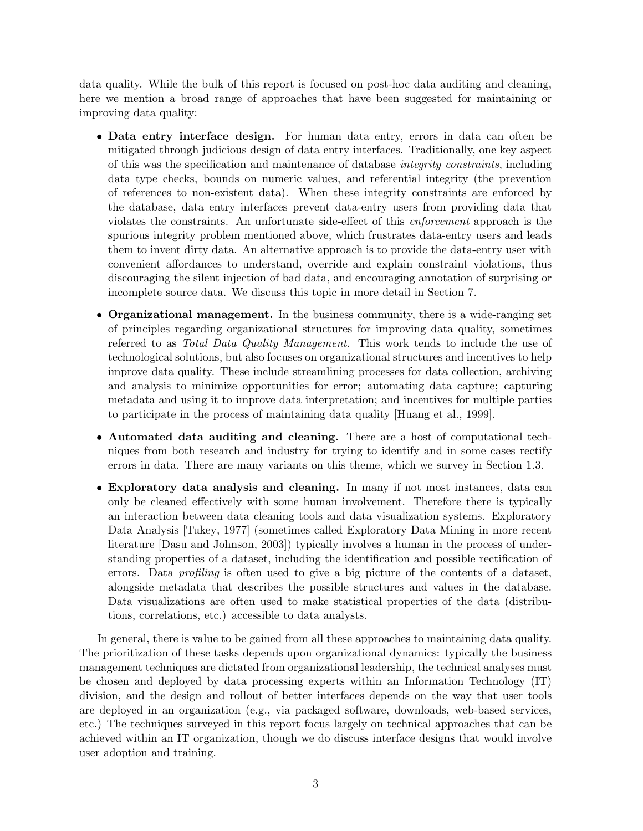data quality. While the bulk of this report is focused on post-hoc data auditing and cleaning, here we mention a broad range of approaches that have been suggested for maintaining or improving data quality:

- Data entry interface design. For human data entry, errors in data can often be mitigated through judicious design of data entry interfaces. Traditionally, one key aspect of this was the specification and maintenance of database integrity constraints, including data type checks, bounds on numeric values, and referential integrity (the prevention of references to non-existent data). When these integrity constraints are enforced by the database, data entry interfaces prevent data-entry users from providing data that violates the constraints. An unfortunate side-effect of this enforcement approach is the spurious integrity problem mentioned above, which frustrates data-entry users and leads them to invent dirty data. An alternative approach is to provide the data-entry user with convenient affordances to understand, override and explain constraint violations, thus discouraging the silent injection of bad data, and encouraging annotation of surprising or incomplete source data. We discuss this topic in more detail in Section 7.
- Organizational management. In the business community, there is a wide-ranging set of principles regarding organizational structures for improving data quality, sometimes referred to as Total Data Quality Management. This work tends to include the use of technological solutions, but also focuses on organizational structures and incentives to help improve data quality. These include streamlining processes for data collection, archiving and analysis to minimize opportunities for error; automating data capture; capturing metadata and using it to improve data interpretation; and incentives for multiple parties to participate in the process of maintaining data quality [Huang et al., 1999].
- Automated data auditing and cleaning. There are a host of computational techniques from both research and industry for trying to identify and in some cases rectify errors in data. There are many variants on this theme, which we survey in Section 1.3.
- Exploratory data analysis and cleaning. In many if not most instances, data can only be cleaned effectively with some human involvement. Therefore there is typically an interaction between data cleaning tools and data visualization systems. Exploratory Data Analysis [Tukey, 1977] (sometimes called Exploratory Data Mining in more recent literature [Dasu and Johnson, 2003]) typically involves a human in the process of understanding properties of a dataset, including the identification and possible rectification of errors. Data *profiling* is often used to give a big picture of the contents of a dataset, alongside metadata that describes the possible structures and values in the database. Data visualizations are often used to make statistical properties of the data (distributions, correlations, etc.) accessible to data analysts.

In general, there is value to be gained from all these approaches to maintaining data quality. The prioritization of these tasks depends upon organizational dynamics: typically the business management techniques are dictated from organizational leadership, the technical analyses must be chosen and deployed by data processing experts within an Information Technology (IT) division, and the design and rollout of better interfaces depends on the way that user tools are deployed in an organization (e.g., via packaged software, downloads, web-based services, etc.) The techniques surveyed in this report focus largely on technical approaches that can be achieved within an IT organization, though we do discuss interface designs that would involve user adoption and training.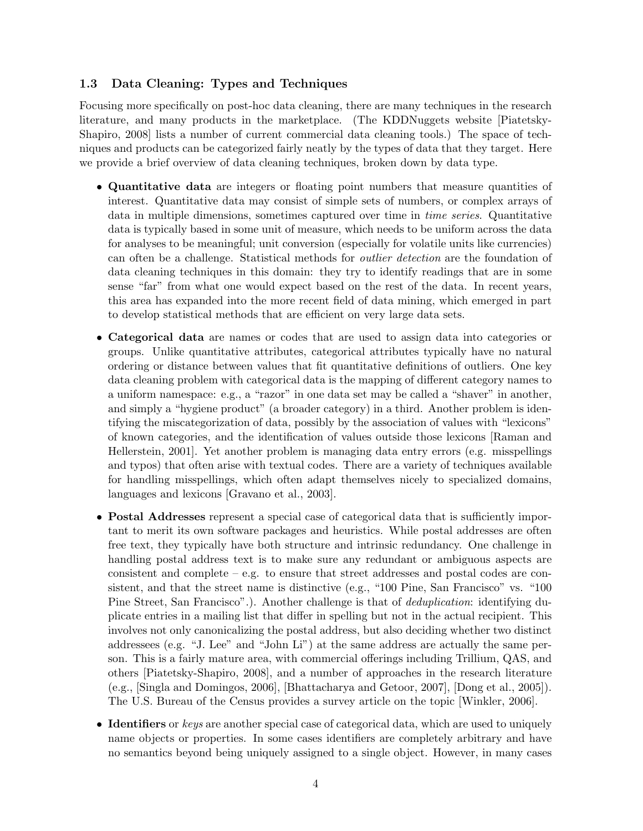### 1.3 Data Cleaning: Types and Techniques

Focusing more specifically on post-hoc data cleaning, there are many techniques in the research literature, and many products in the marketplace. (The KDDNuggets website [Piatetsky-Shapiro, 2008] lists a number of current commercial data cleaning tools.) The space of techniques and products can be categorized fairly neatly by the types of data that they target. Here we provide a brief overview of data cleaning techniques, broken down by data type.

- Quantitative data are integers or floating point numbers that measure quantities of interest. Quantitative data may consist of simple sets of numbers, or complex arrays of data in multiple dimensions, sometimes captured over time in time series. Quantitative data is typically based in some unit of measure, which needs to be uniform across the data for analyses to be meaningful; unit conversion (especially for volatile units like currencies) can often be a challenge. Statistical methods for outlier detection are the foundation of data cleaning techniques in this domain: they try to identify readings that are in some sense "far" from what one would expect based on the rest of the data. In recent years, this area has expanded into the more recent field of data mining, which emerged in part to develop statistical methods that are efficient on very large data sets.
- Categorical data are names or codes that are used to assign data into categories or groups. Unlike quantitative attributes, categorical attributes typically have no natural ordering or distance between values that fit quantitative definitions of outliers. One key data cleaning problem with categorical data is the mapping of different category names to a uniform namespace: e.g., a "razor" in one data set may be called a "shaver" in another, and simply a "hygiene product" (a broader category) in a third. Another problem is identifying the miscategorization of data, possibly by the association of values with "lexicons" of known categories, and the identification of values outside those lexicons [Raman and Hellerstein, 2001]. Yet another problem is managing data entry errors (e.g. misspellings and typos) that often arise with textual codes. There are a variety of techniques available for handling misspellings, which often adapt themselves nicely to specialized domains, languages and lexicons [Gravano et al., 2003].
- Postal Addresses represent a special case of categorical data that is sufficiently important to merit its own software packages and heuristics. While postal addresses are often free text, they typically have both structure and intrinsic redundancy. One challenge in handling postal address text is to make sure any redundant or ambiguous aspects are consistent and complete – e.g. to ensure that street addresses and postal codes are consistent, and that the street name is distinctive (e.g., "100 Pine, San Francisco" vs. "100 Pine Street, San Francisco".). Another challenge is that of *deduplication*: identifying duplicate entries in a mailing list that differ in spelling but not in the actual recipient. This involves not only canonicalizing the postal address, but also deciding whether two distinct addressees (e.g. "J. Lee" and "John Li") at the same address are actually the same person. This is a fairly mature area, with commercial offerings including Trillium, QAS, and others [Piatetsky-Shapiro, 2008], and a number of approaches in the research literature (e.g., [Singla and Domingos, 2006], [Bhattacharya and Getoor, 2007], [Dong et al., 2005]). The U.S. Bureau of the Census provides a survey article on the topic [Winkler, 2006].
- Identifiers or keys are another special case of categorical data, which are used to uniquely name objects or properties. In some cases identifiers are completely arbitrary and have no semantics beyond being uniquely assigned to a single object. However, in many cases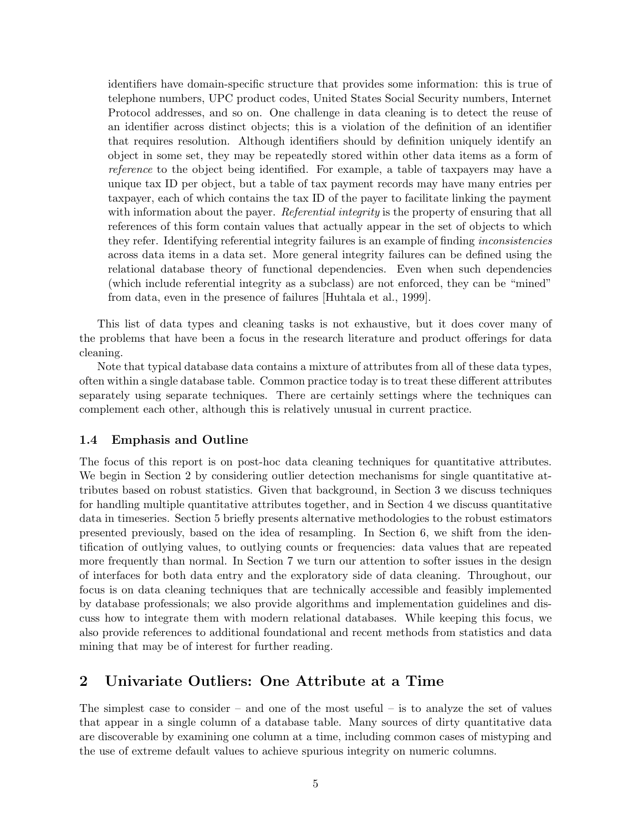identifiers have domain-specific structure that provides some information: this is true of telephone numbers, UPC product codes, United States Social Security numbers, Internet Protocol addresses, and so on. One challenge in data cleaning is to detect the reuse of an identifier across distinct objects; this is a violation of the definition of an identifier that requires resolution. Although identifiers should by definition uniquely identify an object in some set, they may be repeatedly stored within other data items as a form of reference to the object being identified. For example, a table of taxpayers may have a unique tax ID per object, but a table of tax payment records may have many entries per taxpayer, each of which contains the tax ID of the payer to facilitate linking the payment with information about the payer. Referential integrity is the property of ensuring that all references of this form contain values that actually appear in the set of objects to which they refer. Identifying referential integrity failures is an example of finding *inconsistencies* across data items in a data set. More general integrity failures can be defined using the relational database theory of functional dependencies. Even when such dependencies (which include referential integrity as a subclass) are not enforced, they can be "mined" from data, even in the presence of failures [Huhtala et al., 1999].

This list of data types and cleaning tasks is not exhaustive, but it does cover many of the problems that have been a focus in the research literature and product offerings for data cleaning.

Note that typical database data contains a mixture of attributes from all of these data types, often within a single database table. Common practice today is to treat these different attributes separately using separate techniques. There are certainly settings where the techniques can complement each other, although this is relatively unusual in current practice.

### 1.4 Emphasis and Outline

The focus of this report is on post-hoc data cleaning techniques for quantitative attributes. We begin in Section 2 by considering outlier detection mechanisms for single quantitative attributes based on robust statistics. Given that background, in Section 3 we discuss techniques for handling multiple quantitative attributes together, and in Section 4 we discuss quantitative data in timeseries. Section 5 briefly presents alternative methodologies to the robust estimators presented previously, based on the idea of resampling. In Section 6, we shift from the identification of outlying values, to outlying counts or frequencies: data values that are repeated more frequently than normal. In Section 7 we turn our attention to softer issues in the design of interfaces for both data entry and the exploratory side of data cleaning. Throughout, our focus is on data cleaning techniques that are technically accessible and feasibly implemented by database professionals; we also provide algorithms and implementation guidelines and discuss how to integrate them with modern relational databases. While keeping this focus, we also provide references to additional foundational and recent methods from statistics and data mining that may be of interest for further reading.

# 2 Univariate Outliers: One Attribute at a Time

The simplest case to consider – and one of the most useful – is to analyze the set of values that appear in a single column of a database table. Many sources of dirty quantitative data are discoverable by examining one column at a time, including common cases of mistyping and the use of extreme default values to achieve spurious integrity on numeric columns.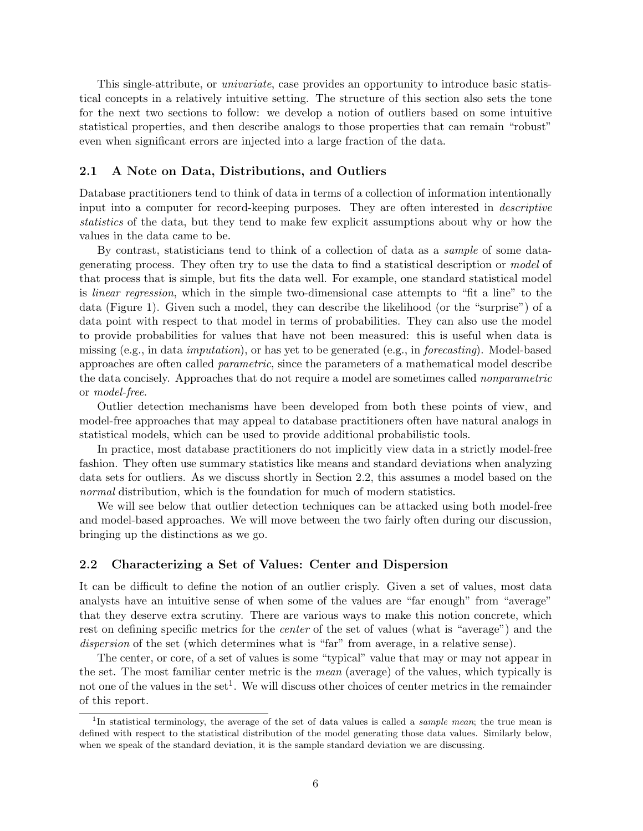This single-attribute, or *univariate*, case provides an opportunity to introduce basic statistical concepts in a relatively intuitive setting. The structure of this section also sets the tone for the next two sections to follow: we develop a notion of outliers based on some intuitive statistical properties, and then describe analogs to those properties that can remain "robust" even when significant errors are injected into a large fraction of the data.

#### 2.1 A Note on Data, Distributions, and Outliers

Database practitioners tend to think of data in terms of a collection of information intentionally input into a computer for record-keeping purposes. They are often interested in descriptive statistics of the data, but they tend to make few explicit assumptions about why or how the values in the data came to be.

By contrast, statisticians tend to think of a collection of data as a sample of some datagenerating process. They often try to use the data to find a statistical description or model of that process that is simple, but fits the data well. For example, one standard statistical model is linear regression, which in the simple two-dimensional case attempts to "fit a line" to the data (Figure 1). Given such a model, they can describe the likelihood (or the "surprise") of a data point with respect to that model in terms of probabilities. They can also use the model to provide probabilities for values that have not been measured: this is useful when data is missing (e.g., in data imputation), or has yet to be generated (e.g., in forecasting). Model-based approaches are often called parametric, since the parameters of a mathematical model describe the data concisely. Approaches that do not require a model are sometimes called nonparametric or model-free.

Outlier detection mechanisms have been developed from both these points of view, and model-free approaches that may appeal to database practitioners often have natural analogs in statistical models, which can be used to provide additional probabilistic tools.

In practice, most database practitioners do not implicitly view data in a strictly model-free fashion. They often use summary statistics like means and standard deviations when analyzing data sets for outliers. As we discuss shortly in Section 2.2, this assumes a model based on the normal distribution, which is the foundation for much of modern statistics.

We will see below that outlier detection techniques can be attacked using both model-free and model-based approaches. We will move between the two fairly often during our discussion, bringing up the distinctions as we go.

#### 2.2 Characterizing a Set of Values: Center and Dispersion

It can be difficult to define the notion of an outlier crisply. Given a set of values, most data analysts have an intuitive sense of when some of the values are "far enough" from "average" that they deserve extra scrutiny. There are various ways to make this notion concrete, which rest on defining specific metrics for the center of the set of values (what is "average") and the dispersion of the set (which determines what is "far" from average, in a relative sense).

The center, or core, of a set of values is some "typical" value that may or may not appear in the set. The most familiar center metric is the mean (average) of the values, which typically is not one of the values in the set<sup>1</sup>. We will discuss other choices of center metrics in the remainder of this report.

<sup>&</sup>lt;sup>1</sup>In statistical terminology, the average of the set of data values is called a *sample mean*; the true mean is defined with respect to the statistical distribution of the model generating those data values. Similarly below, when we speak of the standard deviation, it is the sample standard deviation we are discussing.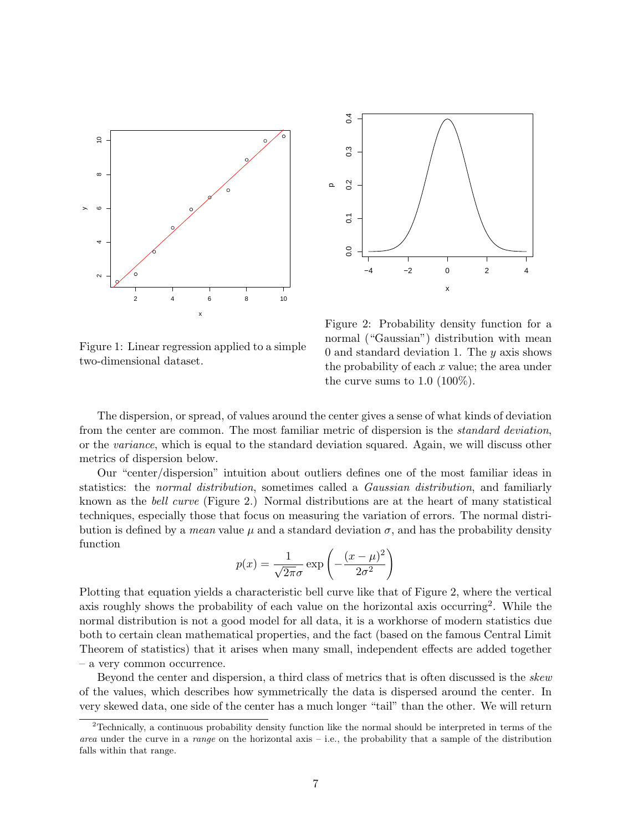



Figure 1: Linear regression applied to a simple two-dimensional dataset.

Figure 2: Probability density function for a normal ("Gaussian") distribution with mean 0 and standard deviation 1. The  $y$  axis shows the probability of each  $x$  value; the area under the curve sums to  $1.0$  (100%).

The dispersion, or spread, of values around the center gives a sense of what kinds of deviation from the center are common. The most familiar metric of dispersion is the *standard deviation*, or the variance, which is equal to the standard deviation squared. Again, we will discuss other metrics of dispersion below.

Our "center/dispersion" intuition about outliers defines one of the most familiar ideas in statistics: the normal distribution, sometimes called a Gaussian distribution, and familiarly known as the bell curve (Figure 2.) Normal distributions are at the heart of many statistical techniques, especially those that focus on measuring the variation of errors. The normal distribution is defined by a *mean* value  $\mu$  and a standard deviation  $\sigma$ , and has the probability density function

$$
p(x) = \frac{1}{\sqrt{2\pi}\sigma} \exp\left(-\frac{(x-\mu)^2}{2\sigma^2}\right)
$$

Plotting that equation yields a characteristic bell curve like that of Figure 2, where the vertical axis roughly shows the probability of each value on the horizontal axis occurring<sup>2</sup>. While the normal distribution is not a good model for all data, it is a workhorse of modern statistics due both to certain clean mathematical properties, and the fact (based on the famous Central Limit Theorem of statistics) that it arises when many small, independent effects are added together – a very common occurrence.

Beyond the center and dispersion, a third class of metrics that is often discussed is the skew of the values, which describes how symmetrically the data is dispersed around the center. In very skewed data, one side of the center has a much longer "tail" than the other. We will return

 $2$ Technically, a continuous probability density function like the normal should be interpreted in terms of the area under the curve in a range on the horizontal axis – i.e., the probability that a sample of the distribution falls within that range.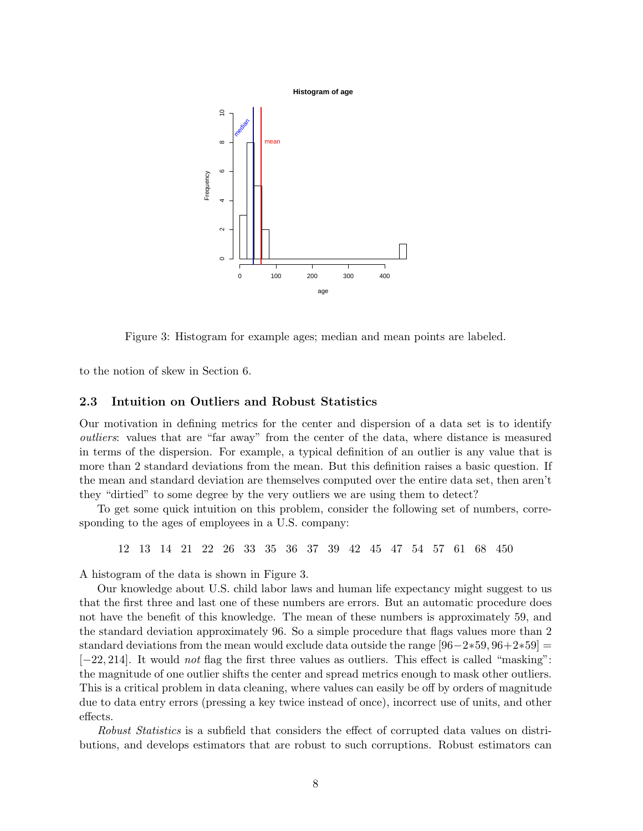

Figure 3: Histogram for example ages; median and mean points are labeled.

to the notion of skew in Section 6.

#### 2.3 Intuition on Outliers and Robust Statistics

Our motivation in defining metrics for the center and dispersion of a data set is to identify outliers: values that are "far away" from the center of the data, where distance is measured in terms of the dispersion. For example, a typical definition of an outlier is any value that is more than 2 standard deviations from the mean. But this definition raises a basic question. If the mean and standard deviation are themselves computed over the entire data set, then aren't they "dirtied" to some degree by the very outliers we are using them to detect?

To get some quick intuition on this problem, consider the following set of numbers, corresponding to the ages of employees in a U.S. company:

12 13 14 21 22 26 33 35 36 37 39 42 45 47 54 57 61 68 450

A histogram of the data is shown in Figure 3.

Our knowledge about U.S. child labor laws and human life expectancy might suggest to us that the first three and last one of these numbers are errors. But an automatic procedure does not have the benefit of this knowledge. The mean of these numbers is approximately 59, and the standard deviation approximately 96. So a simple procedure that flags values more than 2 standard deviations from the mean would exclude data outside the range  $[96-2*59, 96+2*59] =$ [−22, 214]. It would not flag the first three values as outliers. This effect is called "masking": the magnitude of one outlier shifts the center and spread metrics enough to mask other outliers. This is a critical problem in data cleaning, where values can easily be off by orders of magnitude due to data entry errors (pressing a key twice instead of once), incorrect use of units, and other effects.

Robust Statistics is a subfield that considers the effect of corrupted data values on distributions, and develops estimators that are robust to such corruptions. Robust estimators can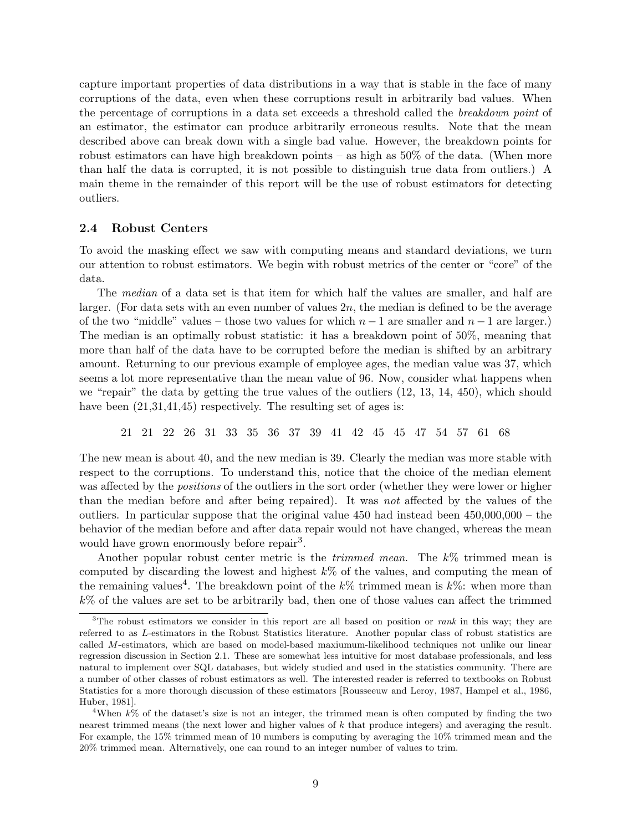capture important properties of data distributions in a way that is stable in the face of many corruptions of the data, even when these corruptions result in arbitrarily bad values. When the percentage of corruptions in a data set exceeds a threshold called the breakdown point of an estimator, the estimator can produce arbitrarily erroneous results. Note that the mean described above can break down with a single bad value. However, the breakdown points for robust estimators can have high breakdown points – as high as 50% of the data. (When more than half the data is corrupted, it is not possible to distinguish true data from outliers.) A main theme in the remainder of this report will be the use of robust estimators for detecting outliers.

#### 2.4 Robust Centers

To avoid the masking effect we saw with computing means and standard deviations, we turn our attention to robust estimators. We begin with robust metrics of the center or "core" of the data.

The median of a data set is that item for which half the values are smaller, and half are larger. (For data sets with an even number of values  $2n$ , the median is defined to be the average of the two "middle" values – those two values for which  $n-1$  are smaller and  $n-1$  are larger.) The median is an optimally robust statistic: it has a breakdown point of 50%, meaning that more than half of the data have to be corrupted before the median is shifted by an arbitrary amount. Returning to our previous example of employee ages, the median value was 37, which seems a lot more representative than the mean value of 96. Now, consider what happens when we "repair" the data by getting the true values of the outliers (12, 13, 14, 450), which should have been  $(21,31,41,45)$  respectively. The resulting set of ages is:

21 21 22 26 31 33 35 36 37 39 41 42 45 45 47 54 57 61 68

The new mean is about 40, and the new median is 39. Clearly the median was more stable with respect to the corruptions. To understand this, notice that the choice of the median element was affected by the *positions* of the outliers in the sort order (whether they were lower or higher than the median before and after being repaired). It was not affected by the values of the outliers. In particular suppose that the original value 450 had instead been 450,000,000 – the behavior of the median before and after data repair would not have changed, whereas the mean would have grown enormously before repair<sup>3</sup>.

Another popular robust center metric is the *trimmed mean*. The  $k\%$  trimmed mean is computed by discarding the lowest and highest  $k\%$  of the values, and computing the mean of the remaining values<sup>4</sup>. The breakdown point of the  $k\%$  trimmed mean is  $k\%$ : when more than  $k\%$  of the values are set to be arbitrarily bad, then one of those values can affect the trimmed

<sup>&</sup>lt;sup>3</sup>The robust estimators we consider in this report are all based on position or *rank* in this way; they are referred to as L-estimators in the Robust Statistics literature. Another popular class of robust statistics are called M-estimators, which are based on model-based maxiumum-likelihood techniques not unlike our linear regression discussion in Section 2.1. These are somewhat less intuitive for most database professionals, and less natural to implement over SQL databases, but widely studied and used in the statistics community. There are a number of other classes of robust estimators as well. The interested reader is referred to textbooks on Robust Statistics for a more thorough discussion of these estimators [Rousseeuw and Leroy, 1987, Hampel et al., 1986, Huber, 1981].

<sup>&</sup>lt;sup>4</sup>When  $k\%$  of the dataset's size is not an integer, the trimmed mean is often computed by finding the two nearest trimmed means (the next lower and higher values of k that produce integers) and averaging the result. For example, the 15% trimmed mean of 10 numbers is computing by averaging the 10% trimmed mean and the 20% trimmed mean. Alternatively, one can round to an integer number of values to trim.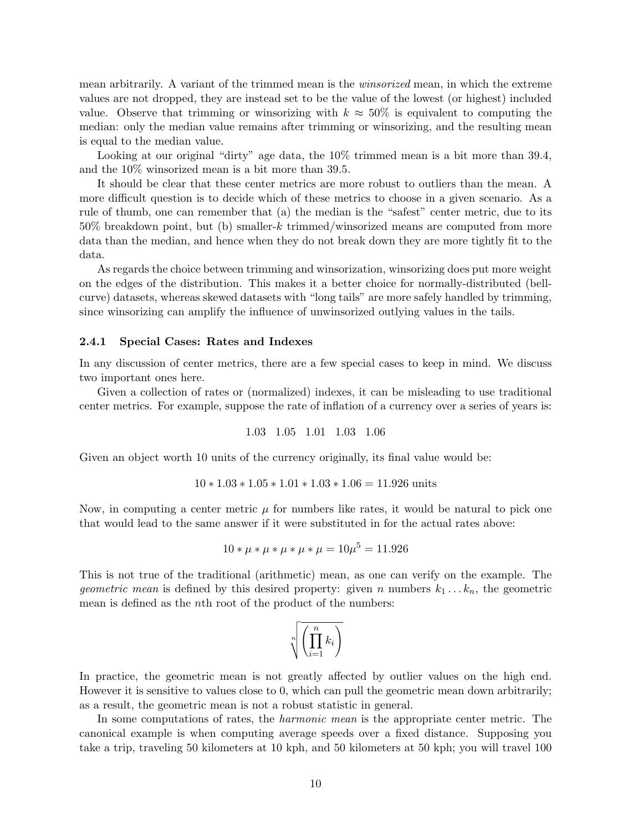mean arbitrarily. A variant of the trimmed mean is the winsorized mean, in which the extreme values are not dropped, they are instead set to be the value of the lowest (or highest) included value. Observe that trimming or winsorizing with  $k \approx 50\%$  is equivalent to computing the median: only the median value remains after trimming or winsorizing, and the resulting mean is equal to the median value.

Looking at our original "dirty" age data, the  $10\%$  trimmed mean is a bit more than 39.4, and the 10% winsorized mean is a bit more than 39.5.

It should be clear that these center metrics are more robust to outliers than the mean. A more difficult question is to decide which of these metrics to choose in a given scenario. As a rule of thumb, one can remember that (a) the median is the "safest" center metric, due to its  $50\%$  breakdown point, but (b) smaller-k trimmed/winsorized means are computed from more data than the median, and hence when they do not break down they are more tightly fit to the data.

As regards the choice between trimming and winsorization, winsorizing does put more weight on the edges of the distribution. This makes it a better choice for normally-distributed (bellcurve) datasets, whereas skewed datasets with "long tails" are more safely handled by trimming, since winsorizing can amplify the influence of unwinsorized outlying values in the tails.

#### 2.4.1 Special Cases: Rates and Indexes

In any discussion of center metrics, there are a few special cases to keep in mind. We discuss two important ones here.

Given a collection of rates or (normalized) indexes, it can be misleading to use traditional center metrics. For example, suppose the rate of inflation of a currency over a series of years is:

$$
1.03 \quad 1.05 \quad 1.01 \quad 1.03 \quad 1.06
$$

Given an object worth 10 units of the currency originally, its final value would be:

$$
10 * 1.03 * 1.05 * 1.01 * 1.03 * 1.06 = 11.926
$$
 units

Now, in computing a center metric  $\mu$  for numbers like rates, it would be natural to pick one that would lead to the same answer if it were substituted in for the actual rates above:

$$
10 * \mu * \mu * \mu * \mu * \mu = 10\mu^5 = 11.926
$$

This is not true of the traditional (arithmetic) mean, as one can verify on the example. The *geometric mean* is defined by this desired property: given n numbers  $k_1 \ldots k_n$ , the geometric mean is defined as the *n*th root of the product of the numbers:

$$
\sqrt[n]{\left(\prod_{i=1}^n k_i\right)}
$$

In practice, the geometric mean is not greatly affected by outlier values on the high end. However it is sensitive to values close to 0, which can pull the geometric mean down arbitrarily; as a result, the geometric mean is not a robust statistic in general.

In some computations of rates, the *harmonic mean* is the appropriate center metric. The canonical example is when computing average speeds over a fixed distance. Supposing you take a trip, traveling 50 kilometers at 10 kph, and 50 kilometers at 50 kph; you will travel 100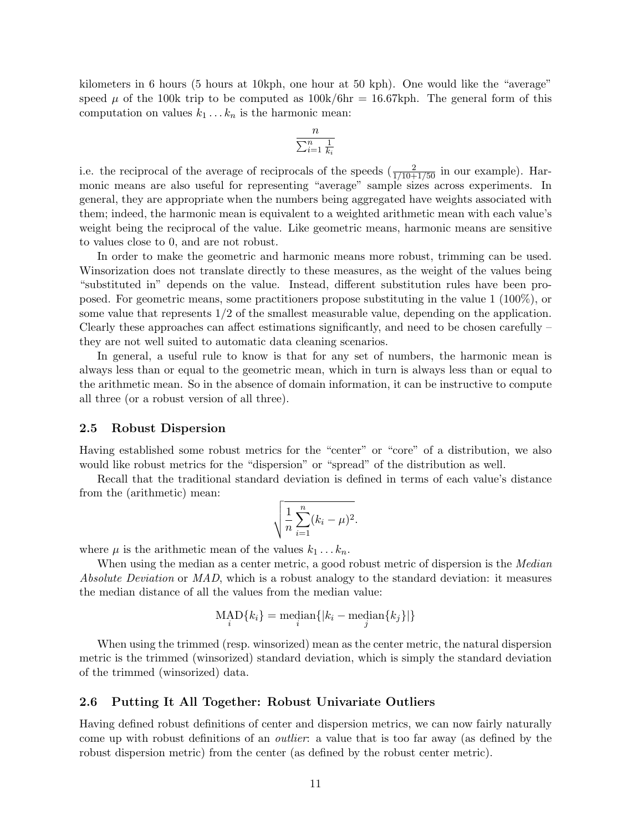kilometers in 6 hours (5 hours at 10kph, one hour at 50 kph). One would like the "average" speed  $\mu$  of the 100k trip to be computed as 100k/6hr = 16.67kph. The general form of this computation on values  $k_1 \ldots k_n$  is the harmonic mean:

$$
\frac{n}{\sum_{i=1}^{n} \frac{1}{k_i}}
$$

i.e. the reciprocal of the average of reciprocals of the speeds  $(\frac{2}{1/10+1/50})$  in our example). Harmonic means are also useful for representing "average" sample sizes across experiments. In general, they are appropriate when the numbers being aggregated have weights associated with them; indeed, the harmonic mean is equivalent to a weighted arithmetic mean with each value's weight being the reciprocal of the value. Like geometric means, harmonic means are sensitive to values close to 0, and are not robust.

In order to make the geometric and harmonic means more robust, trimming can be used. Winsorization does not translate directly to these measures, as the weight of the values being "substituted in" depends on the value. Instead, different substitution rules have been proposed. For geometric means, some practitioners propose substituting in the value 1 (100%), or some value that represents 1/2 of the smallest measurable value, depending on the application. Clearly these approaches can affect estimations significantly, and need to be chosen carefully – they are not well suited to automatic data cleaning scenarios.

In general, a useful rule to know is that for any set of numbers, the harmonic mean is always less than or equal to the geometric mean, which in turn is always less than or equal to the arithmetic mean. So in the absence of domain information, it can be instructive to compute all three (or a robust version of all three).

#### 2.5 Robust Dispersion

Having established some robust metrics for the "center" or "core" of a distribution, we also would like robust metrics for the "dispersion" or "spread" of the distribution as well.

Recall that the traditional standard deviation is defined in terms of each value's distance from the (arithmetic) mean:

$$
\sqrt{\frac{1}{n}\sum_{i=1}^{n}(k_i-\mu)^2}.
$$

where  $\mu$  is the arithmetic mean of the values  $k_1 \ldots k_n$ .

When using the median as a center metric, a good robust metric of dispersion is the *Median* Absolute Deviation or MAD, which is a robust analogy to the standard deviation: it measures the median distance of all the values from the median value:

$$
\text{MAD}\{k_i\} = \text{median}\{|k_i - \text{median}\{k_j\}|\}
$$

When using the trimmed (resp. winsorized) mean as the center metric, the natural dispersion metric is the trimmed (winsorized) standard deviation, which is simply the standard deviation of the trimmed (winsorized) data.

#### 2.6 Putting It All Together: Robust Univariate Outliers

Having defined robust definitions of center and dispersion metrics, we can now fairly naturally come up with robust definitions of an *outlier*: a value that is too far away (as defined by the robust dispersion metric) from the center (as defined by the robust center metric).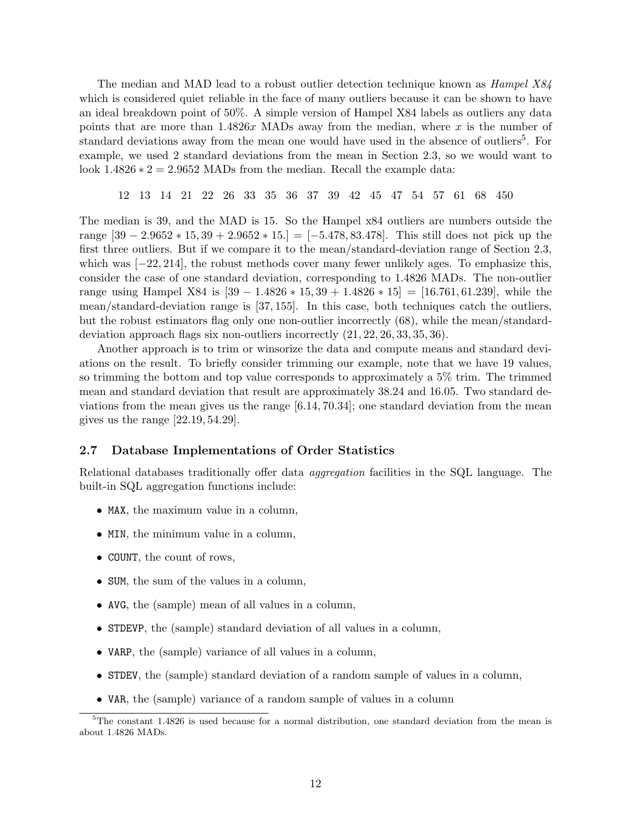The median and MAD lead to a robust outlier detection technique known as Hampel X84 which is considered quiet reliable in the face of many outliers because it can be shown to have an ideal breakdown point of 50%. A simple version of Hampel X84 labels as outliers any data points that are more than  $1.4826x$  MADs away from the median, where x is the number of standard deviations away from the mean one would have used in the absence of outliers<sup>5</sup>. For example, we used 2 standard deviations from the mean in Section 2.3, so we would want to look  $1.4826 * 2 = 2.9652$  MADs from the median. Recall the example data:

12 13 14 21 22 26 33 35 36 37 39 42 45 47 54 57 61 68 450

The median is 39, and the MAD is 15. So the Hampel x84 outliers are numbers outside the range  $[39 - 2.9652 \times 15, 39 + 2.9652 \times 15.] = [-5.478, 83.478]$ . This still does not pick up the first three outliers. But if we compare it to the mean/standard-deviation range of Section 2.3, which was [−22, 214], the robust methods cover many fewer unlikely ages. To emphasize this, consider the case of one standard deviation, corresponding to 1.4826 MADs. The non-outlier range using Hampel X84 is  $[39 - 1.4826 * 15, 39 + 1.4826 * 15] = [16.761, 61.239]$ , while the mean/standard-deviation range is [37, 155]. In this case, both techniques catch the outliers, but the robust estimators flag only one non-outlier incorrectly (68), while the mean/standarddeviation approach flags six non-outliers incorrectly (21, 22, 26, 33, 35, 36).

Another approach is to trim or winsorize the data and compute means and standard deviations on the result. To briefly consider trimming our example, note that we have 19 values, so trimming the bottom and top value corresponds to approximately a 5% trim. The trimmed mean and standard deviation that result are approximately 38.24 and 16.05. Two standard deviations from the mean gives us the range [6.14, 70.34]; one standard deviation from the mean gives us the range [22.19, 54.29].

### 2.7 Database Implementations of Order Statistics

Relational databases traditionally offer data aggregation facilities in the SQL language. The built-in SQL aggregation functions include:

- MAX, the maximum value in a column,
- MIN, the minimum value in a column,
- COUNT, the count of rows,
- SUM, the sum of the values in a column,
- AVG, the (sample) mean of all values in a column,
- STDEVP, the (sample) standard deviation of all values in a column,
- VARP, the (sample) variance of all values in a column,
- STDEV, the (sample) standard deviation of a random sample of values in a column,
- VAR, the (sample) variance of a random sample of values in a column

 $5$ The constant 1.4826 is used because for a normal distribution, one standard deviation from the mean is about 1.4826 MADs.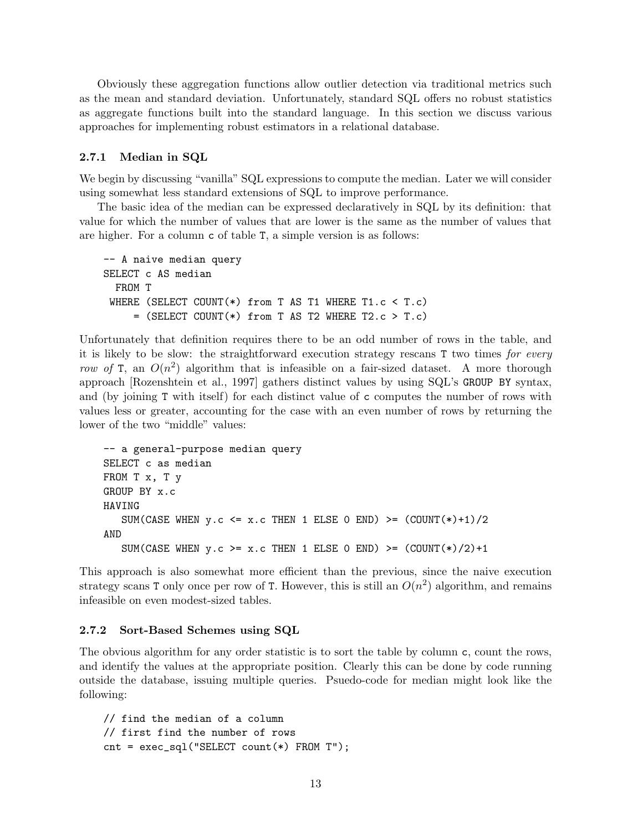Obviously these aggregation functions allow outlier detection via traditional metrics such as the mean and standard deviation. Unfortunately, standard SQL offers no robust statistics as aggregate functions built into the standard language. In this section we discuss various approaches for implementing robust estimators in a relational database.

#### 2.7.1 Median in SQL

We begin by discussing "vanilla" SQL expressions to compute the median. Later we will consider using somewhat less standard extensions of SQL to improve performance.

The basic idea of the median can be expressed declaratively in SQL by its definition: that value for which the number of values that are lower is the same as the number of values that are higher. For a column c of table T, a simple version is as follows:

```
-- A naive median query
SELECT c AS median
  FROM T
 WHERE (SELECT COUNT(*) from T AS T1 WHERE T1.c < T.c)
     = (SELECT COUNT(*) from T AS T2 WHERE T2.c > T.c)
```
Unfortunately that definition requires there to be an odd number of rows in the table, and it is likely to be slow: the straightforward execution strategy rescans T two times for every row of T, an  $O(n^2)$  algorithm that is infeasible on a fair-sized dataset. A more thorough approach [Rozenshtein et al., 1997] gathers distinct values by using SQL's GROUP BY syntax, and (by joining T with itself) for each distinct value of c computes the number of rows with values less or greater, accounting for the case with an even number of rows by returning the lower of the two "middle" values:

```
-- a general-purpose median query
SELECT c as median
FROM T x, T y
GROUP BY x.c
HAVING
   SUM(CASE WHEN y.c \le x.c THEN 1 ELSE 0 END) >= (C{\text{OUT}}(*)+1)/2AND
   SUM(CASE WHEN y.c >= x.c THEN 1 ELSE 0 END) >= (COUNT(*)/2)+1
```
This approach is also somewhat more efficient than the previous, since the naive execution strategy scans T only once per row of T. However, this is still an  $O(n^2)$  algorithm, and remains infeasible on even modest-sized tables.

#### 2.7.2 Sort-Based Schemes using SQL

The obvious algorithm for any order statistic is to sort the table by column c, count the rows, and identify the values at the appropriate position. Clearly this can be done by code running outside the database, issuing multiple queries. Psuedo-code for median might look like the following:

```
// find the median of a column
// first find the number of rows
cnt = exec_sql("SELECT count(*) FROM T");
```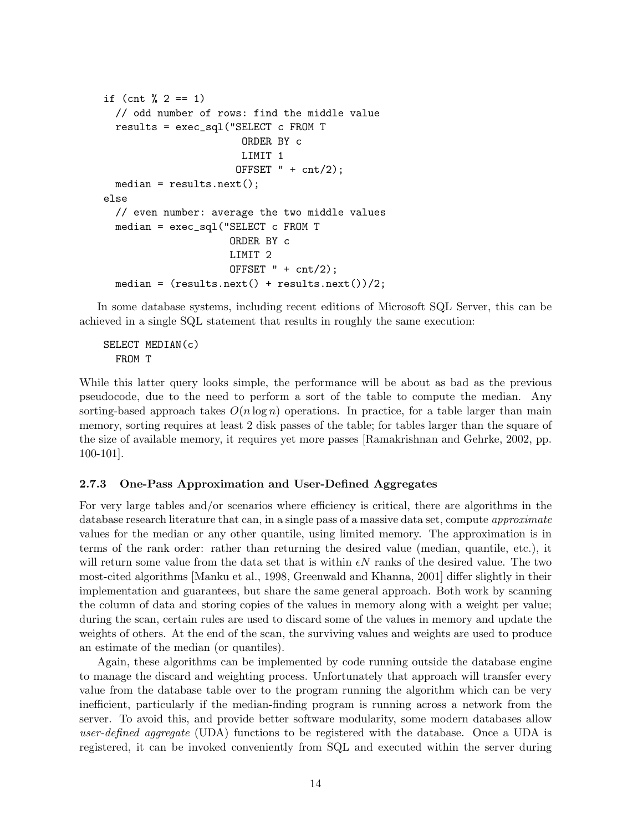```
if (cnt \frac{9}{6} 2 == 1)
  // odd number of rows: find the middle value
  results = exec_sql("SELECT c FROM T
                         ORDER BY c
                         LIMIT 1
                        OFFSET " + \text{cnt}/2;
  median = results.next();else
  // even number: average the two middle values
  median = exec_sql("SELECT c FROM T
                       ORDER BY c
                       LIMIT 2
                       OFFSET " + \text{cnt}/2;
  median = (results.next() + results.next());
```
In some database systems, including recent editions of Microsoft SQL Server, this can be achieved in a single SQL statement that results in roughly the same execution:

```
SELECT MEDIAN(c)
  FROM T
```
While this latter query looks simple, the performance will be about as bad as the previous pseudocode, due to the need to perform a sort of the table to compute the median. Any sorting-based approach takes  $O(n \log n)$  operations. In practice, for a table larger than main memory, sorting requires at least 2 disk passes of the table; for tables larger than the square of the size of available memory, it requires yet more passes [Ramakrishnan and Gehrke, 2002, pp. 100-101].

#### 2.7.3 One-Pass Approximation and User-Defined Aggregates

For very large tables and/or scenarios where efficiency is critical, there are algorithms in the database research literature that can, in a single pass of a massive data set, compute *approximate* values for the median or any other quantile, using limited memory. The approximation is in terms of the rank order: rather than returning the desired value (median, quantile, etc.), it will return some value from the data set that is within  $\epsilon N$  ranks of the desired value. The two most-cited algorithms [Manku et al., 1998, Greenwald and Khanna, 2001] differ slightly in their implementation and guarantees, but share the same general approach. Both work by scanning the column of data and storing copies of the values in memory along with a weight per value; during the scan, certain rules are used to discard some of the values in memory and update the weights of others. At the end of the scan, the surviving values and weights are used to produce an estimate of the median (or quantiles).

Again, these algorithms can be implemented by code running outside the database engine to manage the discard and weighting process. Unfortunately that approach will transfer every value from the database table over to the program running the algorithm which can be very inefficient, particularly if the median-finding program is running across a network from the server. To avoid this, and provide better software modularity, some modern databases allow user-defined aggregate (UDA) functions to be registered with the database. Once a UDA is registered, it can be invoked conveniently from SQL and executed within the server during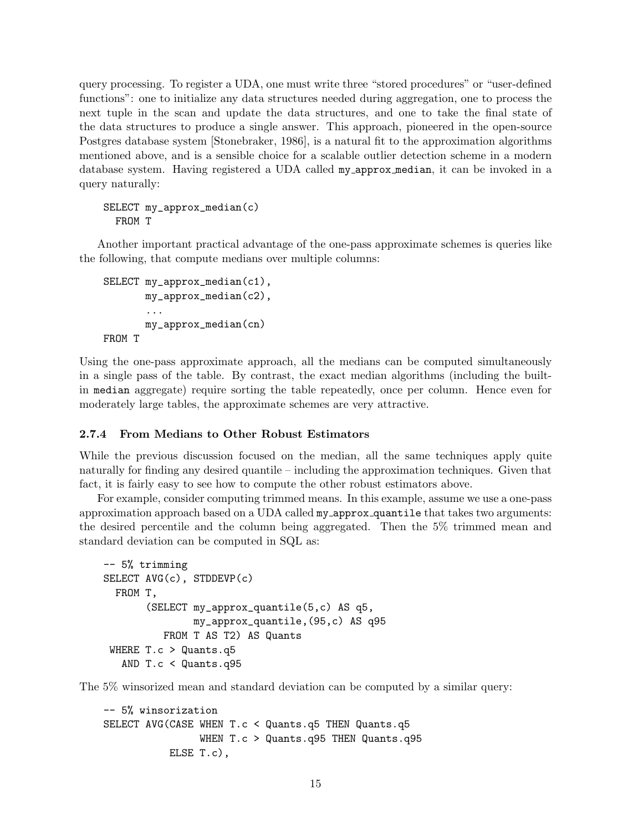query processing. To register a UDA, one must write three "stored procedures" or "user-defined functions": one to initialize any data structures needed during aggregation, one to process the next tuple in the scan and update the data structures, and one to take the final state of the data structures to produce a single answer. This approach, pioneered in the open-source Postgres database system [Stonebraker, 1986], is a natural fit to the approximation algorithms mentioned above, and is a sensible choice for a scalable outlier detection scheme in a modern database system. Having registered a UDA called my approx median, it can be invoked in a query naturally:

```
SELECT my_approx_median(c)
  FROM T
```
Another important practical advantage of the one-pass approximate schemes is queries like the following, that compute medians over multiple columns:

```
SELECT my_approx_median(c1),
       my_approx_median(c2),
       ...
       my_approx_median(cn)
FROM T
```
Using the one-pass approximate approach, all the medians can be computed simultaneously in a single pass of the table. By contrast, the exact median algorithms (including the builtin median aggregate) require sorting the table repeatedly, once per column. Hence even for moderately large tables, the approximate schemes are very attractive.

### 2.7.4 From Medians to Other Robust Estimators

While the previous discussion focused on the median, all the same techniques apply quite naturally for finding any desired quantile – including the approximation techniques. Given that fact, it is fairly easy to see how to compute the other robust estimators above.

For example, consider computing trimmed means. In this example, assume we use a one-pass approximation approach based on a UDA called my approx quantile that takes two arguments: the desired percentile and the column being aggregated. Then the 5% trimmed mean and standard deviation can be computed in SQL as:

```
-- 5% trimming
SELECT AVG(c), STDDEVP(c)
  FROM T,
       (SELECT my_approx_quantile(5,c) AS q5,
               my_approx_quantile,(95,c) AS q95
          FROM T AS T2) AS Quants
 WHERE T.c > Quants.q5
   AND T.c < Quants.q95
```
The 5% winsorized mean and standard deviation can be computed by a similar query:

```
-- 5% winsorization
SELECT AVG(CASE WHEN T.c < Quants.q5 THEN Quants.q5
                WHEN T.c > Quants.q95 THEN Quants.q95
           ELSE T.c),
```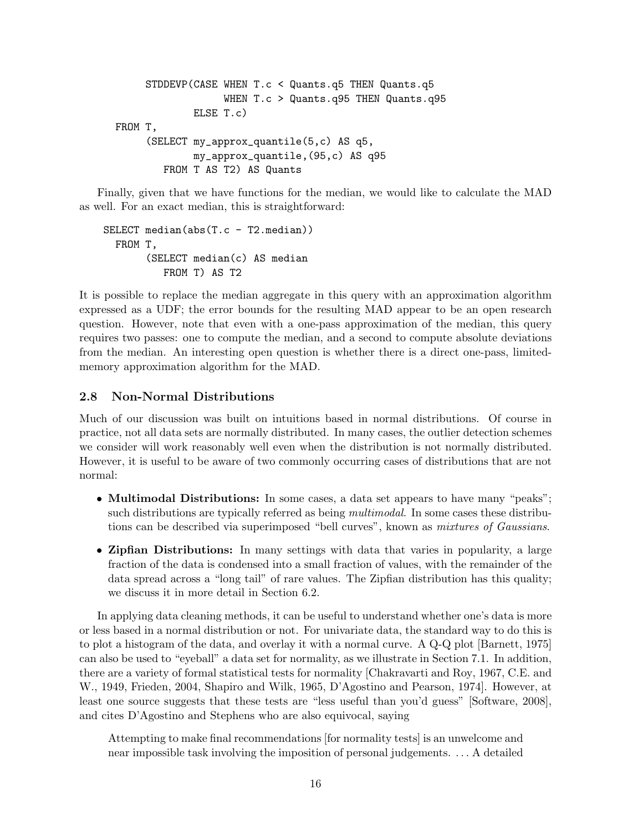```
STDDEVP(CASE WHEN T.c < Quants.q5 THEN Quants.q5
                  WHEN T.c > Quants.q95 THEN Quants.q95
             ELSE T.c)
FROM T,
     (SELECT my_approx_quantile(5,c) AS q5,
             my_approx_quantile,(95,c) AS q95
        FROM T AS T2) AS Quants
```
Finally, given that we have functions for the median, we would like to calculate the MAD as well. For an exact median, this is straightforward:

```
SELECT median(abs(T.c - T2.median))
  FROM T,
       (SELECT median(c) AS median
          FROM T) AS T2
```
It is possible to replace the median aggregate in this query with an approximation algorithm expressed as a UDF; the error bounds for the resulting MAD appear to be an open research question. However, note that even with a one-pass approximation of the median, this query requires two passes: one to compute the median, and a second to compute absolute deviations from the median. An interesting open question is whether there is a direct one-pass, limitedmemory approximation algorithm for the MAD.

### 2.8 Non-Normal Distributions

Much of our discussion was built on intuitions based in normal distributions. Of course in practice, not all data sets are normally distributed. In many cases, the outlier detection schemes we consider will work reasonably well even when the distribution is not normally distributed. However, it is useful to be aware of two commonly occurring cases of distributions that are not normal:

- Multimodal Distributions: In some cases, a data set appears to have many "peaks"; such distributions are typically referred as being *multimodal*. In some cases these distributions can be described via superimposed "bell curves", known as *mixtures of Gaussians*.
- Zipfian Distributions: In many settings with data that varies in popularity, a large fraction of the data is condensed into a small fraction of values, with the remainder of the data spread across a "long tail" of rare values. The Zipfian distribution has this quality; we discuss it in more detail in Section 6.2.

In applying data cleaning methods, it can be useful to understand whether one's data is more or less based in a normal distribution or not. For univariate data, the standard way to do this is to plot a histogram of the data, and overlay it with a normal curve. A Q-Q plot [Barnett, 1975] can also be used to "eyeball" a data set for normality, as we illustrate in Section 7.1. In addition, there are a variety of formal statistical tests for normality [Chakravarti and Roy, 1967, C.E. and W., 1949, Frieden, 2004, Shapiro and Wilk, 1965, D'Agostino and Pearson, 1974]. However, at least one source suggests that these tests are "less useful than you'd guess" [Software, 2008], and cites D'Agostino and Stephens who are also equivocal, saying

Attempting to make final recommendations [for normality tests] is an unwelcome and near impossible task involving the imposition of personal judgements. . . . A detailed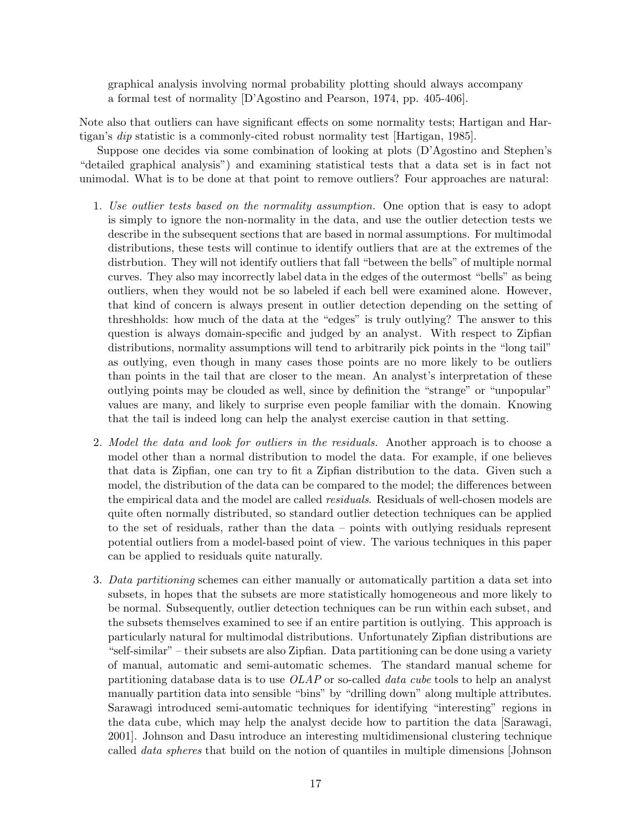graphical analysis involving normal probability plotting should always accompany a formal test of normality [D'Agostino and Pearson, 1974, pp. 405-406].

Note also that outliers can have significant effects on some normality tests; Hartigan and Hartigan's dip statistic is a commonly-cited robust normality test [Hartigan, 1985].

Suppose one decides via some combination of looking at plots (D'Agostino and Stephen's "detailed graphical analysis") and examining statistical tests that a data set is in fact not unimodal. What is to be done at that point to remove outliers? Four approaches are natural:

- 1. Use outlier tests based on the normality assumption. One option that is easy to adopt is simply to ignore the non-normality in the data, and use the outlier detection tests we describe in the subsequent sections that are based in normal assumptions. For multimodal distributions, these tests will continue to identify outliers that are at the extremes of the distrbution. They will not identify outliers that fall "between the bells" of multiple normal curves. They also may incorrectly label data in the edges of the outermost "bells" as being outliers, when they would not be so labeled if each bell were examined alone. However, that kind of concern is always present in outlier detection depending on the setting of threshholds: how much of the data at the "edges" is truly outlying? The answer to this question is always domain-specific and judged by an analyst. With respect to Zipfian distributions, normality assumptions will tend to arbitrarily pick points in the "long tail" as outlying, even though in many cases those points are no more likely to be outliers than points in the tail that are closer to the mean. An analyst's interpretation of these outlying points may be clouded as well, since by definition the "strange" or "unpopular" values are many, and likely to surprise even people familiar with the domain. Knowing that the tail is indeed long can help the analyst exercise caution in that setting.
- 2. Model the data and look for outliers in the residuals. Another approach is to choose a model other than a normal distribution to model the data. For example, if one believes that data is Zipfian, one can try to fit a Zipfian distribution to the data. Given such a model, the distribution of the data can be compared to the model; the differences between the empirical data and the model are called residuals. Residuals of well-chosen models are quite often normally distributed, so standard outlier detection techniques can be applied to the set of residuals, rather than the data – points with outlying residuals represent potential outliers from a model-based point of view. The various techniques in this paper can be applied to residuals quite naturally.
- 3. Data partitioning schemes can either manually or automatically partition a data set into subsets, in hopes that the subsets are more statistically homogeneous and more likely to be normal. Subsequently, outlier detection techniques can be run within each subset, and the subsets themselves examined to see if an entire partition is outlying. This approach is particularly natural for multimodal distributions. Unfortunately Zipfian distributions are "self-similar" – their subsets are also Zipfian. Data partitioning can be done using a variety of manual, automatic and semi-automatic schemes. The standard manual scheme for partitioning database data is to use OLAP or so-called data cube tools to help an analyst manually partition data into sensible "bins" by "drilling down" along multiple attributes. Sarawagi introduced semi-automatic techniques for identifying "interesting" regions in the data cube, which may help the analyst decide how to partition the data [Sarawagi, 2001]. Johnson and Dasu introduce an interesting multidimensional clustering technique called data spheres that build on the notion of quantiles in multiple dimensions [Johnson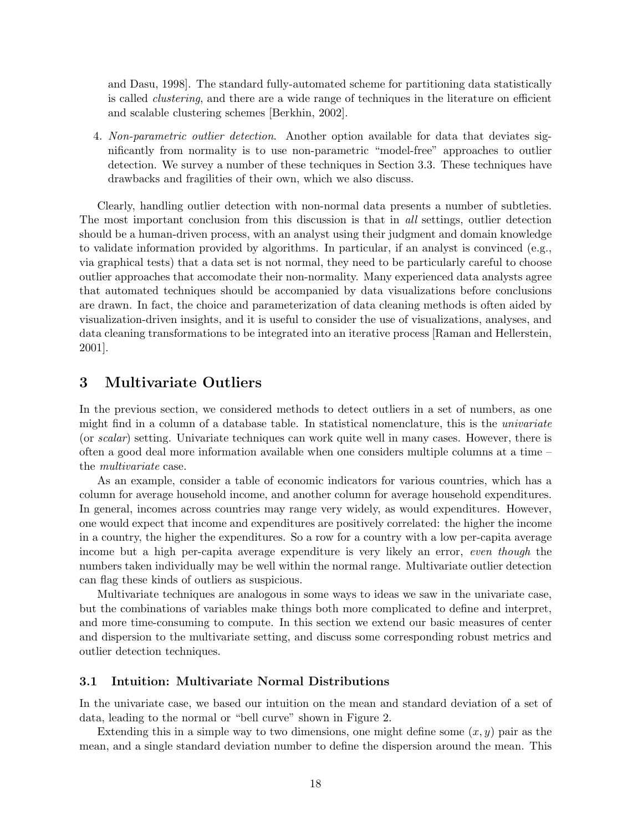and Dasu, 1998]. The standard fully-automated scheme for partitioning data statistically is called clustering, and there are a wide range of techniques in the literature on efficient and scalable clustering schemes [Berkhin, 2002].

4. Non-parametric outlier detection. Another option available for data that deviates significantly from normality is to use non-parametric "model-free" approaches to outlier detection. We survey a number of these techniques in Section 3.3. These techniques have drawbacks and fragilities of their own, which we also discuss.

Clearly, handling outlier detection with non-normal data presents a number of subtleties. The most important conclusion from this discussion is that in *all* settings, outlier detection should be a human-driven process, with an analyst using their judgment and domain knowledge to validate information provided by algorithms. In particular, if an analyst is convinced (e.g., via graphical tests) that a data set is not normal, they need to be particularly careful to choose outlier approaches that accomodate their non-normality. Many experienced data analysts agree that automated techniques should be accompanied by data visualizations before conclusions are drawn. In fact, the choice and parameterization of data cleaning methods is often aided by visualization-driven insights, and it is useful to consider the use of visualizations, analyses, and data cleaning transformations to be integrated into an iterative process [Raman and Hellerstein, 2001].

# 3 Multivariate Outliers

In the previous section, we considered methods to detect outliers in a set of numbers, as one might find in a column of a database table. In statistical nomenclature, this is the univariate (or scalar) setting. Univariate techniques can work quite well in many cases. However, there is often a good deal more information available when one considers multiple columns at a time – the multivariate case.

As an example, consider a table of economic indicators for various countries, which has a column for average household income, and another column for average household expenditures. In general, incomes across countries may range very widely, as would expenditures. However, one would expect that income and expenditures are positively correlated: the higher the income in a country, the higher the expenditures. So a row for a country with a low per-capita average income but a high per-capita average expenditure is very likely an error, even though the numbers taken individually may be well within the normal range. Multivariate outlier detection can flag these kinds of outliers as suspicious.

Multivariate techniques are analogous in some ways to ideas we saw in the univariate case, but the combinations of variables make things both more complicated to define and interpret, and more time-consuming to compute. In this section we extend our basic measures of center and dispersion to the multivariate setting, and discuss some corresponding robust metrics and outlier detection techniques.

#### 3.1 Intuition: Multivariate Normal Distributions

In the univariate case, we based our intuition on the mean and standard deviation of a set of data, leading to the normal or "bell curve" shown in Figure 2.

Extending this in a simple way to two dimensions, one might define some  $(x, y)$  pair as the mean, and a single standard deviation number to define the dispersion around the mean. This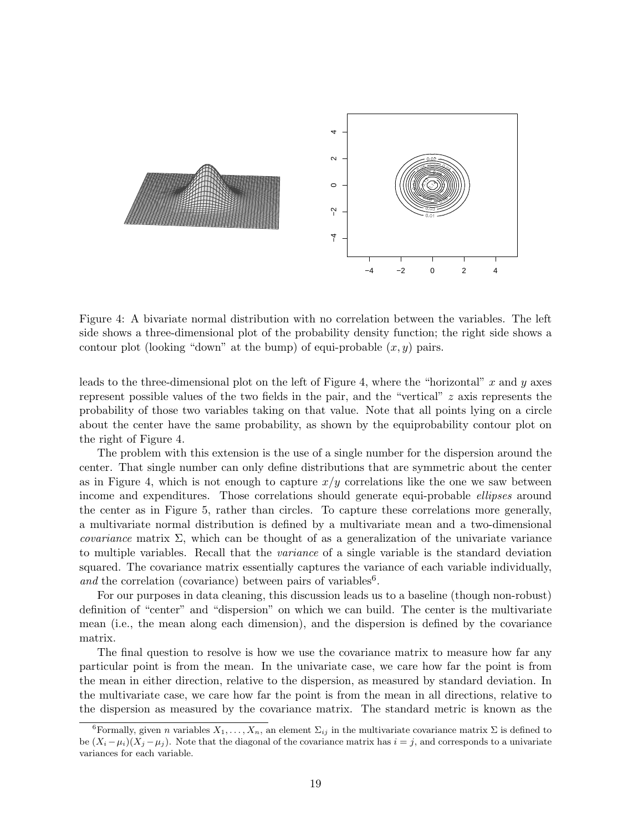

Figure 4: A bivariate normal distribution with no correlation between the variables. The left side shows a three-dimensional plot of the probability density function; the right side shows a contour plot (looking "down" at the bump) of equi-probable  $(x, y)$  pairs.

leads to the three-dimensional plot on the left of Figure 4, where the "horizontal" x and y axes represent possible values of the two fields in the pair, and the "vertical" z axis represents the probability of those two variables taking on that value. Note that all points lying on a circle about the center have the same probability, as shown by the equiprobability contour plot on the right of Figure 4.

The problem with this extension is the use of a single number for the dispersion around the center. That single number can only define distributions that are symmetric about the center as in Figure 4, which is not enough to capture  $x/y$  correlations like the one we saw between income and expenditures. Those correlations should generate equi-probable *ellipses* around the center as in Figure 5, rather than circles. To capture these correlations more generally, a multivariate normal distribution is defined by a multivariate mean and a two-dimensional covariance matrix  $\Sigma$ , which can be thought of as a generalization of the univariate variance to multiple variables. Recall that the variance of a single variable is the standard deviation squared. The covariance matrix essentially captures the variance of each variable individually, and the correlation (covariance) between pairs of variables<sup>6</sup>.

For our purposes in data cleaning, this discussion leads us to a baseline (though non-robust) definition of "center" and "dispersion" on which we can build. The center is the multivariate mean (i.e., the mean along each dimension), and the dispersion is defined by the covariance matrix.

The final question to resolve is how we use the covariance matrix to measure how far any particular point is from the mean. In the univariate case, we care how far the point is from the mean in either direction, relative to the dispersion, as measured by standard deviation. In the multivariate case, we care how far the point is from the mean in all directions, relative to the dispersion as measured by the covariance matrix. The standard metric is known as the

<sup>&</sup>lt;sup>6</sup>Formally, given *n* variables  $X_1, \ldots, X_n$ , an element  $\Sigma_{ij}$  in the multivariate covariance matrix  $\Sigma$  is defined to be  $(X_i - \mu_i)(X_j - \mu_j)$ . Note that the diagonal of the covariance matrix has  $i = j$ , and corresponds to a univariate variances for each variable.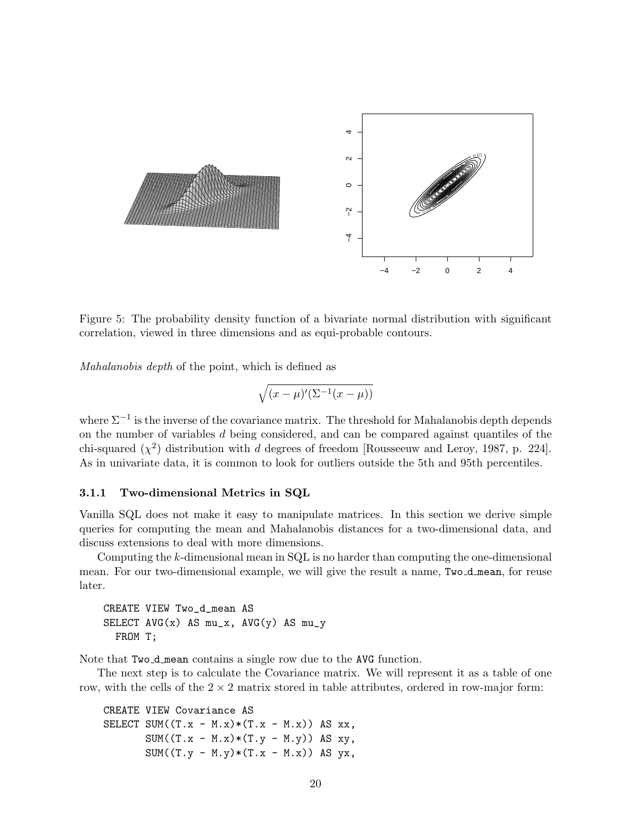

Figure 5: The probability density function of a bivariate normal distribution with significant correlation, viewed in three dimensions and as equi-probable contours.

Mahalanobis depth of the point, which is defined as

$$
\sqrt{(x-\mu)'(\Sigma^{-1}(x-\mu))}
$$

where  $\Sigma^{-1}$  is the inverse of the covariance matrix. The threshold for Mahalanobis depth depends on the number of variables d being considered, and can be compared against quantiles of the chi-squared  $(\chi^2)$  distribution with d degrees of freedom [Rousseeuw and Leroy, 1987, p. 224]. As in univariate data, it is common to look for outliers outside the 5th and 95th percentiles.

#### 3.1.1 Two-dimensional Metrics in SQL

Vanilla SQL does not make it easy to manipulate matrices. In this section we derive simple queries for computing the mean and Mahalanobis distances for a two-dimensional data, and discuss extensions to deal with more dimensions.

Computing the  $k$ -dimensional mean in SQL is no harder than computing the one-dimensional mean. For our two-dimensional example, we will give the result a name, Two-d mean, for reuse later.

CREATE VIEW Two\_d\_mean AS SELECT  $AVG(x)$  AS  $mu_x$ ,  $AVG(y)$  AS  $mu_y$ FROM T;

Note that Two d mean contains a single row due to the AVG function.

The next step is to calculate the Covariance matrix. We will represent it as a table of one row, with the cells of the  $2 \times 2$  matrix stored in table attributes, ordered in row-major form:

```
CREATE VIEW Covariance AS
SELECT SUM((T.x - M.x)*(T.x - M.x)) AS xx,
       SUM((T.x - M.x)*(T.y - M.y)) AS xy,
       SUM((T.y - M.y)*(T.x - M.x)) AS yx,
```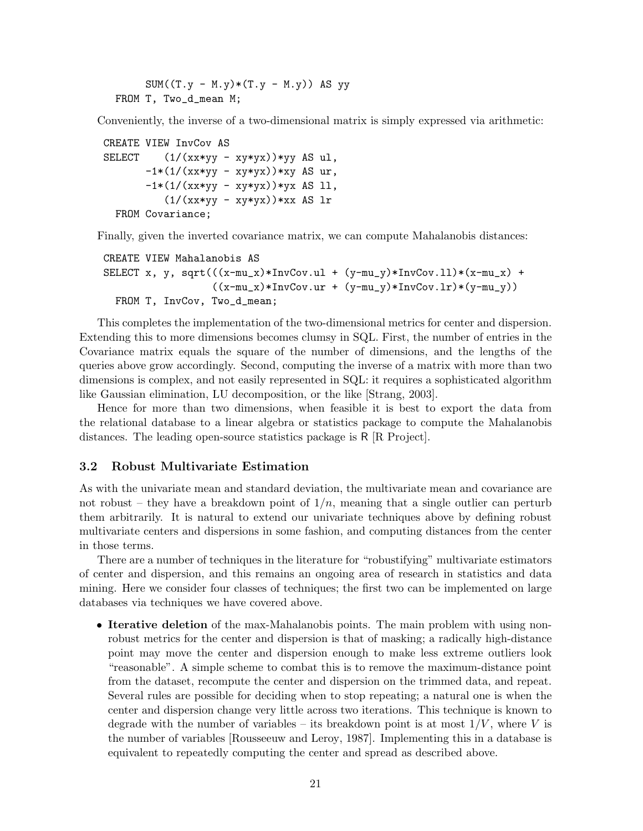SUM( $(T.y - M.y)*(T.y - M.y)$ ) AS yy FROM T, Two\_d\_mean M;

Conveniently, the inverse of a two-dimensional matrix is simply expressed via arithmetic:

```
CREATE VIEW InvCov AS
SELECT (1/(\text{xx*vy} - \text{xy*yx})) * \text{yy AS ul},
        -1*(1/(xx*yy - xy*yx))*xy AS ur,-1*(1/(xx*yy - xy*yx))*yx AS 11,(1/(xx*yy - xy*yx))*xx AS 1rFROM Covariance;
```
Finally, given the inverted covariance matrix, we can compute Mahalanobis distances:

```
CREATE VIEW Mahalanobis AS
SELECT x, y, sqrt(((x-mu_x)*InvCov.u1 + (y-mu_y)*InvCov.l1)*(x-mu_x) +((x-mu_x)*InvCov.ur + (y-mu_y)*InvCov.lr)*(y-mu_y))FROM T, InvCov, Two_d_mean;
```
This completes the implementation of the two-dimensional metrics for center and dispersion. Extending this to more dimensions becomes clumsy in SQL. First, the number of entries in the Covariance matrix equals the square of the number of dimensions, and the lengths of the queries above grow accordingly. Second, computing the inverse of a matrix with more than two dimensions is complex, and not easily represented in SQL: it requires a sophisticated algorithm like Gaussian elimination, LU decomposition, or the like [Strang, 2003].

Hence for more than two dimensions, when feasible it is best to export the data from the relational database to a linear algebra or statistics package to compute the Mahalanobis distances. The leading open-source statistics package is R [R Project].

#### 3.2 Robust Multivariate Estimation

As with the univariate mean and standard deviation, the multivariate mean and covariance are not robust – they have a breakdown point of  $1/n$ , meaning that a single outlier can perturb them arbitrarily. It is natural to extend our univariate techniques above by defining robust multivariate centers and dispersions in some fashion, and computing distances from the center in those terms.

There are a number of techniques in the literature for "robustifying" multivariate estimators of center and dispersion, and this remains an ongoing area of research in statistics and data mining. Here we consider four classes of techniques; the first two can be implemented on large databases via techniques we have covered above.

• Iterative deletion of the max-Mahalanobis points. The main problem with using nonrobust metrics for the center and dispersion is that of masking; a radically high-distance point may move the center and dispersion enough to make less extreme outliers look "reasonable". A simple scheme to combat this is to remove the maximum-distance point from the dataset, recompute the center and dispersion on the trimmed data, and repeat. Several rules are possible for deciding when to stop repeating; a natural one is when the center and dispersion change very little across two iterations. This technique is known to degrade with the number of variables – its breakdown point is at most  $1/V$ , where V is the number of variables [Rousseeuw and Leroy, 1987]. Implementing this in a database is equivalent to repeatedly computing the center and spread as described above.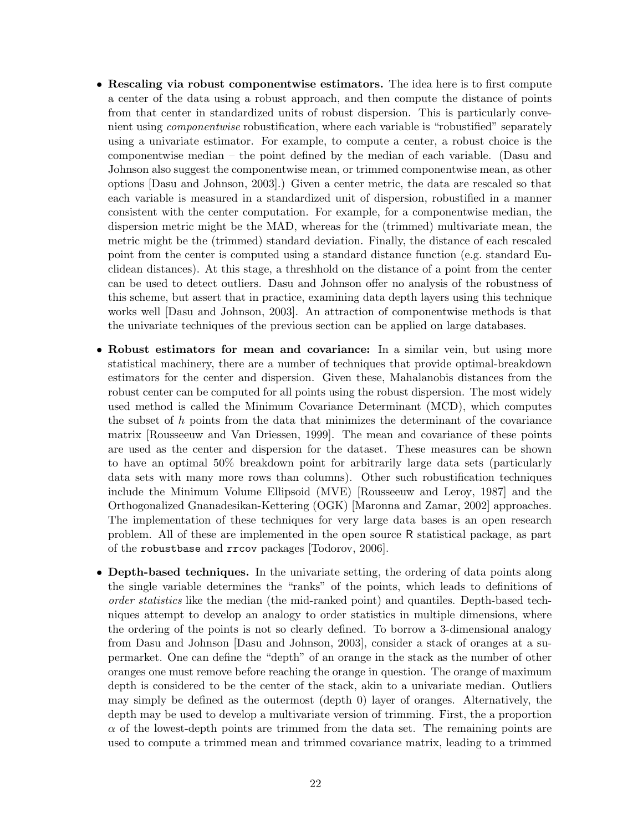- Rescaling via robust componentwise estimators. The idea here is to first compute a center of the data using a robust approach, and then compute the distance of points from that center in standardized units of robust dispersion. This is particularly convenient using componentwise robustification, where each variable is "robustified" separately using a univariate estimator. For example, to compute a center, a robust choice is the componentwise median – the point defined by the median of each variable. (Dasu and Johnson also suggest the componentwise mean, or trimmed componentwise mean, as other options [Dasu and Johnson, 2003].) Given a center metric, the data are rescaled so that each variable is measured in a standardized unit of dispersion, robustified in a manner consistent with the center computation. For example, for a componentwise median, the dispersion metric might be the MAD, whereas for the (trimmed) multivariate mean, the metric might be the (trimmed) standard deviation. Finally, the distance of each rescaled point from the center is computed using a standard distance function (e.g. standard Euclidean distances). At this stage, a threshhold on the distance of a point from the center can be used to detect outliers. Dasu and Johnson offer no analysis of the robustness of this scheme, but assert that in practice, examining data depth layers using this technique works well [Dasu and Johnson, 2003]. An attraction of componentwise methods is that the univariate techniques of the previous section can be applied on large databases.
- Robust estimators for mean and covariance: In a similar vein, but using more statistical machinery, there are a number of techniques that provide optimal-breakdown estimators for the center and dispersion. Given these, Mahalanobis distances from the robust center can be computed for all points using the robust dispersion. The most widely used method is called the Minimum Covariance Determinant (MCD), which computes the subset of h points from the data that minimizes the determinant of the covariance matrix [Rousseeuw and Van Driessen, 1999]. The mean and covariance of these points are used as the center and dispersion for the dataset. These measures can be shown to have an optimal 50% breakdown point for arbitrarily large data sets (particularly data sets with many more rows than columns). Other such robustification techniques include the Minimum Volume Ellipsoid (MVE) [Rousseeuw and Leroy, 1987] and the Orthogonalized Gnanadesikan-Kettering (OGK) [Maronna and Zamar, 2002] approaches. The implementation of these techniques for very large data bases is an open research problem. All of these are implemented in the open source R statistical package, as part of the robustbase and rrcov packages [Todorov, 2006].
- Depth-based techniques. In the univariate setting, the ordering of data points along the single variable determines the "ranks" of the points, which leads to definitions of order statistics like the median (the mid-ranked point) and quantiles. Depth-based techniques attempt to develop an analogy to order statistics in multiple dimensions, where the ordering of the points is not so clearly defined. To borrow a 3-dimensional analogy from Dasu and Johnson [Dasu and Johnson, 2003], consider a stack of oranges at a supermarket. One can define the "depth" of an orange in the stack as the number of other oranges one must remove before reaching the orange in question. The orange of maximum depth is considered to be the center of the stack, akin to a univariate median. Outliers may simply be defined as the outermost (depth 0) layer of oranges. Alternatively, the depth may be used to develop a multivariate version of trimming. First, the a proportion  $\alpha$  of the lowest-depth points are trimmed from the data set. The remaining points are used to compute a trimmed mean and trimmed covariance matrix, leading to a trimmed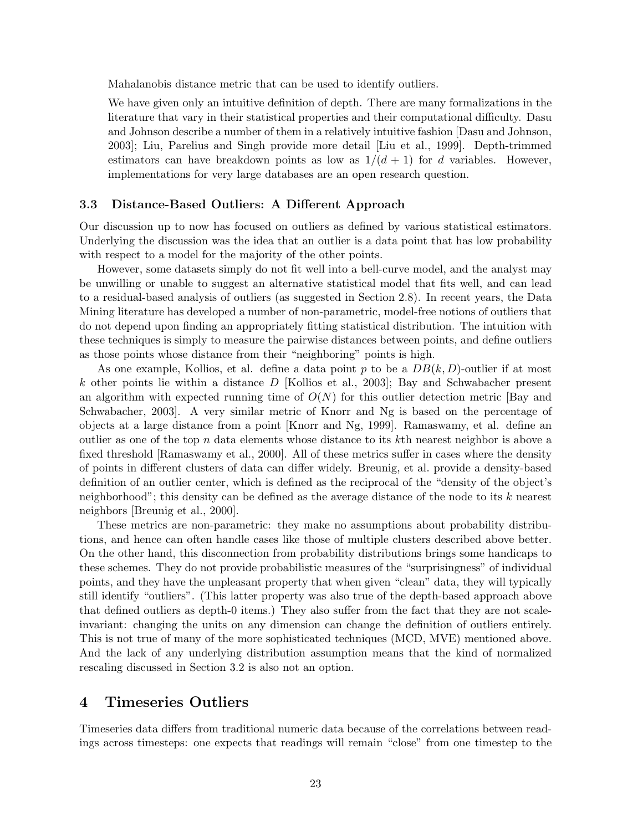Mahalanobis distance metric that can be used to identify outliers.

We have given only an intuitive definition of depth. There are many formalizations in the literature that vary in their statistical properties and their computational difficulty. Dasu and Johnson describe a number of them in a relatively intuitive fashion [Dasu and Johnson, 2003]; Liu, Parelius and Singh provide more detail [Liu et al., 1999]. Depth-trimmed estimators can have breakdown points as low as  $1/(d+1)$  for d variables. However, implementations for very large databases are an open research question.

### 3.3 Distance-Based Outliers: A Different Approach

Our discussion up to now has focused on outliers as defined by various statistical estimators. Underlying the discussion was the idea that an outlier is a data point that has low probability with respect to a model for the majority of the other points.

However, some datasets simply do not fit well into a bell-curve model, and the analyst may be unwilling or unable to suggest an alternative statistical model that fits well, and can lead to a residual-based analysis of outliers (as suggested in Section 2.8). In recent years, the Data Mining literature has developed a number of non-parametric, model-free notions of outliers that do not depend upon finding an appropriately fitting statistical distribution. The intuition with these techniques is simply to measure the pairwise distances between points, and define outliers as those points whose distance from their "neighboring" points is high.

As one example, Kollios, et al. define a data point p to be a  $DB(k, D)$ -outlier if at most k other points lie within a distance D [Kollios et al., 2003]; Bay and Schwabacher present an algorithm with expected running time of  $O(N)$  for this outlier detection metric [Bay and Schwabacher, 2003]. A very similar metric of Knorr and Ng is based on the percentage of objects at a large distance from a point [Knorr and Ng, 1999]. Ramaswamy, et al. define an outlier as one of the top n data elements whose distance to its kth nearest neighbor is above a fixed threshold [Ramaswamy et al., 2000]. All of these metrics suffer in cases where the density of points in different clusters of data can differ widely. Breunig, et al. provide a density-based definition of an outlier center, which is defined as the reciprocal of the "density of the object's neighborhood"; this density can be defined as the average distance of the node to its k nearest neighbors [Breunig et al., 2000].

These metrics are non-parametric: they make no assumptions about probability distributions, and hence can often handle cases like those of multiple clusters described above better. On the other hand, this disconnection from probability distributions brings some handicaps to these schemes. They do not provide probabilistic measures of the "surprisingness" of individual points, and they have the unpleasant property that when given "clean" data, they will typically still identify "outliers". (This latter property was also true of the depth-based approach above that defined outliers as depth-0 items.) They also suffer from the fact that they are not scaleinvariant: changing the units on any dimension can change the definition of outliers entirely. This is not true of many of the more sophisticated techniques (MCD, MVE) mentioned above. And the lack of any underlying distribution assumption means that the kind of normalized rescaling discussed in Section 3.2 is also not an option.

# 4 Timeseries Outliers

Timeseries data differs from traditional numeric data because of the correlations between readings across timesteps: one expects that readings will remain "close" from one timestep to the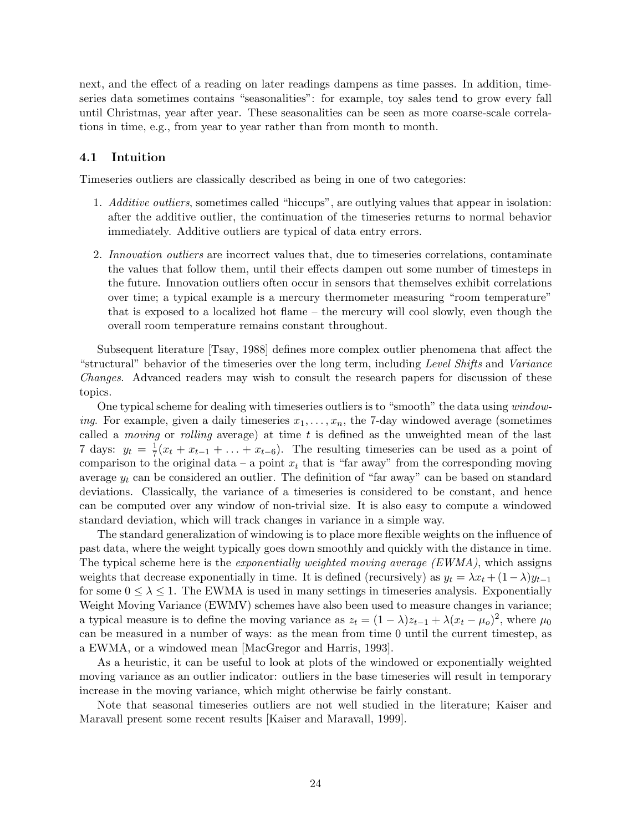next, and the effect of a reading on later readings dampens as time passes. In addition, timeseries data sometimes contains "seasonalities": for example, toy sales tend to grow every fall until Christmas, year after year. These seasonalities can be seen as more coarse-scale correlations in time, e.g., from year to year rather than from month to month.

#### 4.1 Intuition

Timeseries outliers are classically described as being in one of two categories:

- 1. Additive outliers, sometimes called "hiccups", are outlying values that appear in isolation: after the additive outlier, the continuation of the timeseries returns to normal behavior immediately. Additive outliers are typical of data entry errors.
- 2. Innovation outliers are incorrect values that, due to timeseries correlations, contaminate the values that follow them, until their effects dampen out some number of timesteps in the future. Innovation outliers often occur in sensors that themselves exhibit correlations over time; a typical example is a mercury thermometer measuring "room temperature" that is exposed to a localized hot flame – the mercury will cool slowly, even though the overall room temperature remains constant throughout.

Subsequent literature [Tsay, 1988] defines more complex outlier phenomena that affect the "structural" behavior of the timeseries over the long term, including Level Shifts and Variance Changes. Advanced readers may wish to consult the research papers for discussion of these topics.

One typical scheme for dealing with timeseries outliers is to "smooth" the data using windowing. For example, given a daily timeseries  $x_1, \ldots, x_n$ , the 7-day windowed average (sometimes called a *moving* or *rolling* average) at time  $t$  is defined as the unweighted mean of the last 7 days:  $y_t = \frac{1}{7}$  $\frac{1}{7}(x_t + x_{t-1} + \ldots + x_{t-6})$ . The resulting timeseries can be used as a point of comparison to the original data – a point  $x_t$  that is "far away" from the corresponding moving average  $y_t$  can be considered an outlier. The definition of "far away" can be based on standard deviations. Classically, the variance of a timeseries is considered to be constant, and hence can be computed over any window of non-trivial size. It is also easy to compute a windowed standard deviation, which will track changes in variance in a simple way.

The standard generalization of windowing is to place more flexible weights on the influence of past data, where the weight typically goes down smoothly and quickly with the distance in time. The typical scheme here is the *exponentially weighted moving average (EWMA)*, which assigns weights that decrease exponentially in time. It is defined (recursively) as  $y_t = \lambda x_t + (1-\lambda)y_{t-1}$ for some  $0 \leq \lambda \leq 1$ . The EWMA is used in many settings in timeseries analysis. Exponentially Weight Moving Variance (EWMV) schemes have also been used to measure changes in variance; a typical measure is to define the moving variance as  $z_t = (1 - \lambda)z_{t-1} + \lambda(x_t - \mu_o)^2$ , where  $\mu_0$ can be measured in a number of ways: as the mean from time 0 until the current timestep, as a EWMA, or a windowed mean [MacGregor and Harris, 1993].

As a heuristic, it can be useful to look at plots of the windowed or exponentially weighted moving variance as an outlier indicator: outliers in the base timeseries will result in temporary increase in the moving variance, which might otherwise be fairly constant.

Note that seasonal timeseries outliers are not well studied in the literature; Kaiser and Maravall present some recent results [Kaiser and Maravall, 1999].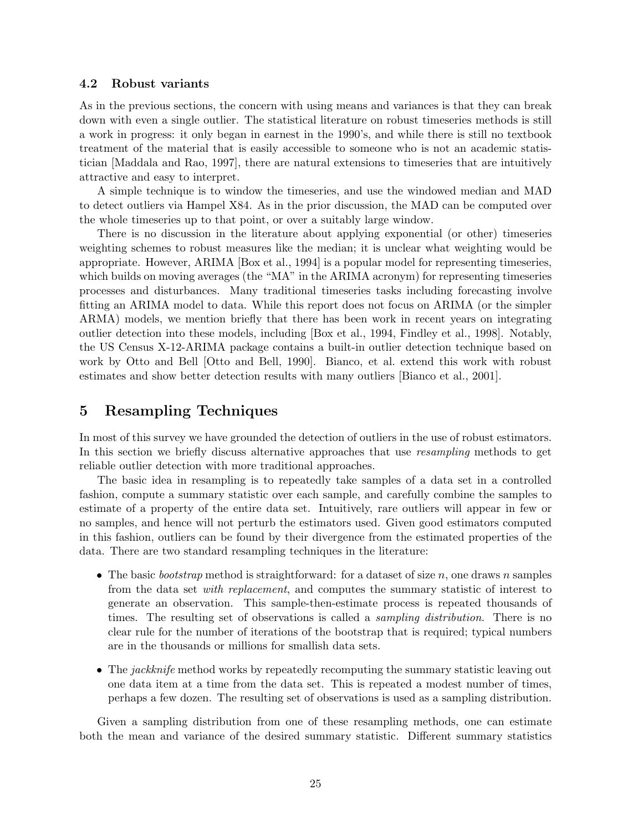#### 4.2 Robust variants

As in the previous sections, the concern with using means and variances is that they can break down with even a single outlier. The statistical literature on robust timeseries methods is still a work in progress: it only began in earnest in the 1990's, and while there is still no textbook treatment of the material that is easily accessible to someone who is not an academic statistician [Maddala and Rao, 1997], there are natural extensions to timeseries that are intuitively attractive and easy to interpret.

A simple technique is to window the timeseries, and use the windowed median and MAD to detect outliers via Hampel X84. As in the prior discussion, the MAD can be computed over the whole timeseries up to that point, or over a suitably large window.

There is no discussion in the literature about applying exponential (or other) timeseries weighting schemes to robust measures like the median; it is unclear what weighting would be appropriate. However, ARIMA [Box et al., 1994] is a popular model for representing timeseries, which builds on moving averages (the "MA" in the ARIMA acronym) for representing timeseries processes and disturbances. Many traditional timeseries tasks including forecasting involve fitting an ARIMA model to data. While this report does not focus on ARIMA (or the simpler ARMA) models, we mention briefly that there has been work in recent years on integrating outlier detection into these models, including [Box et al., 1994, Findley et al., 1998]. Notably, the US Census X-12-ARIMA package contains a built-in outlier detection technique based on work by Otto and Bell [Otto and Bell, 1990]. Bianco, et al. extend this work with robust estimates and show better detection results with many outliers [Bianco et al., 2001].

# 5 Resampling Techniques

In most of this survey we have grounded the detection of outliers in the use of robust estimators. In this section we briefly discuss alternative approaches that use *resampling* methods to get reliable outlier detection with more traditional approaches.

The basic idea in resampling is to repeatedly take samples of a data set in a controlled fashion, compute a summary statistic over each sample, and carefully combine the samples to estimate of a property of the entire data set. Intuitively, rare outliers will appear in few or no samples, and hence will not perturb the estimators used. Given good estimators computed in this fashion, outliers can be found by their divergence from the estimated properties of the data. There are two standard resampling techniques in the literature:

- The basic *bootstrap* method is straightforward: for a dataset of size n, one draws n samples from the data set *with replacement*, and computes the summary statistic of interest to generate an observation. This sample-then-estimate process is repeated thousands of times. The resulting set of observations is called a *sampling distribution*. There is no clear rule for the number of iterations of the bootstrap that is required; typical numbers are in the thousands or millions for smallish data sets.
- The *jackknife* method works by repeatedly recomputing the summary statistic leaving out one data item at a time from the data set. This is repeated a modest number of times, perhaps a few dozen. The resulting set of observations is used as a sampling distribution.

Given a sampling distribution from one of these resampling methods, one can estimate both the mean and variance of the desired summary statistic. Different summary statistics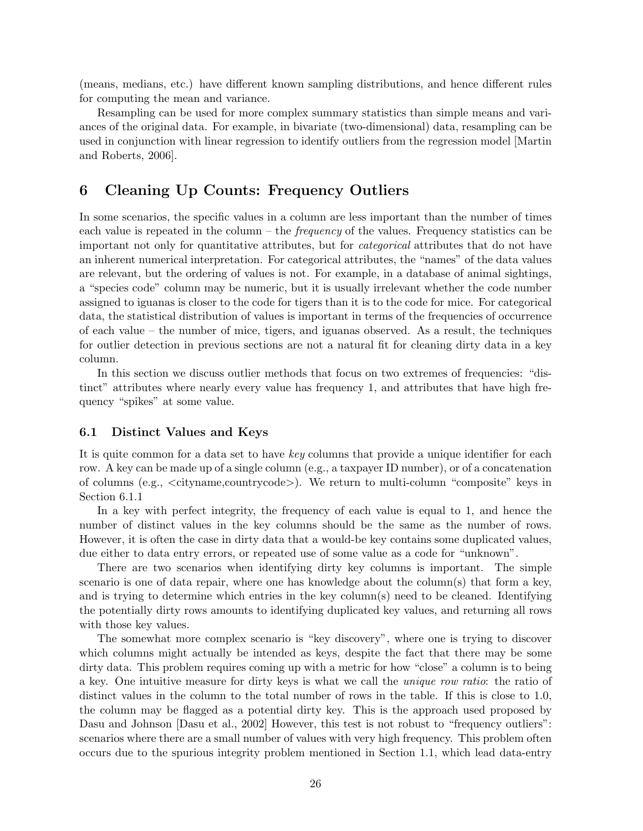(means, medians, etc.) have different known sampling distributions, and hence different rules for computing the mean and variance.

Resampling can be used for more complex summary statistics than simple means and variances of the original data. For example, in bivariate (two-dimensional) data, resampling can be used in conjunction with linear regression to identify outliers from the regression model [Martin and Roberts, 2006].

# 6 Cleaning Up Counts: Frequency Outliers

In some scenarios, the specific values in a column are less important than the number of times each value is repeated in the column – the frequency of the values. Frequency statistics can be important not only for quantitative attributes, but for categorical attributes that do not have an inherent numerical interpretation. For categorical attributes, the "names" of the data values are relevant, but the ordering of values is not. For example, in a database of animal sightings, a "species code" column may be numeric, but it is usually irrelevant whether the code number assigned to iguanas is closer to the code for tigers than it is to the code for mice. For categorical data, the statistical distribution of values is important in terms of the frequencies of occurrence of each value – the number of mice, tigers, and iguanas observed. As a result, the techniques for outlier detection in previous sections are not a natural fit for cleaning dirty data in a key column.

In this section we discuss outlier methods that focus on two extremes of frequencies: "distinct" attributes where nearly every value has frequency 1, and attributes that have high frequency "spikes" at some value.

### 6.1 Distinct Values and Keys

It is quite common for a data set to have key columns that provide a unique identifier for each row. A key can be made up of a single column (e.g., a taxpayer ID number), or of a concatenation of columns (e.g., <cityname,countrycode>). We return to multi-column "composite" keys in Section 6.1.1

In a key with perfect integrity, the frequency of each value is equal to 1, and hence the number of distinct values in the key columns should be the same as the number of rows. However, it is often the case in dirty data that a would-be key contains some duplicated values, due either to data entry errors, or repeated use of some value as a code for "unknown".

There are two scenarios when identifying dirty key columns is important. The simple scenario is one of data repair, where one has knowledge about the column(s) that form a key, and is trying to determine which entries in the key column(s) need to be cleaned. Identifying the potentially dirty rows amounts to identifying duplicated key values, and returning all rows with those key values.

The somewhat more complex scenario is "key discovery", where one is trying to discover which columns might actually be intended as keys, despite the fact that there may be some dirty data. This problem requires coming up with a metric for how "close" a column is to being a key. One intuitive measure for dirty keys is what we call the unique row ratio: the ratio of distinct values in the column to the total number of rows in the table. If this is close to 1.0, the column may be flagged as a potential dirty key. This is the approach used proposed by Dasu and Johnson [Dasu et al., 2002] However, this test is not robust to "frequency outliers": scenarios where there are a small number of values with very high frequency. This problem often occurs due to the spurious integrity problem mentioned in Section 1.1, which lead data-entry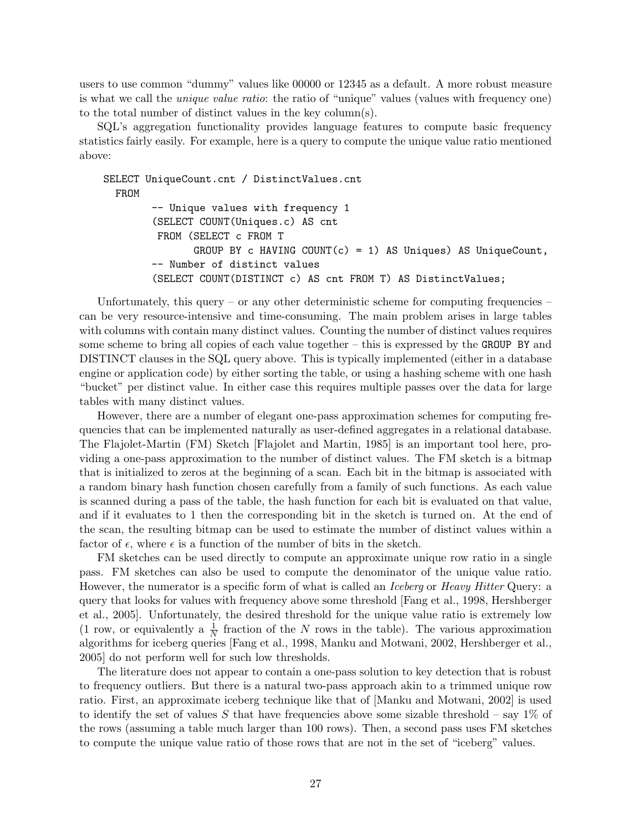users to use common "dummy" values like 00000 or 12345 as a default. A more robust measure is what we call the unique value ratio: the ratio of "unique" values (values with frequency one) to the total number of distinct values in the key column(s).

SQL's aggregation functionality provides language features to compute basic frequency statistics fairly easily. For example, here is a query to compute the unique value ratio mentioned above:

```
SELECT UniqueCount.cnt / DistinctValues.cnt
  FROM
        -- Unique values with frequency 1
        (SELECT COUNT(Uniques.c) AS cnt
         FROM (SELECT c FROM T
               GROUP BY c HAVING COUNT(c) = 1) AS Uniques) AS UniqueCount,
        -- Number of distinct values
        (SELECT COUNT(DISTINCT c) AS cnt FROM T) AS DistinctValues;
```
Unfortunately, this query – or any other deterministic scheme for computing frequencies  $$ can be very resource-intensive and time-consuming. The main problem arises in large tables with columns with contain many distinct values. Counting the number of distinct values requires some scheme to bring all copies of each value together – this is expressed by the GROUP BY and DISTINCT clauses in the SQL query above. This is typically implemented (either in a database engine or application code) by either sorting the table, or using a hashing scheme with one hash "bucket" per distinct value. In either case this requires multiple passes over the data for large tables with many distinct values.

However, there are a number of elegant one-pass approximation schemes for computing frequencies that can be implemented naturally as user-defined aggregates in a relational database. The Flajolet-Martin (FM) Sketch [Flajolet and Martin, 1985] is an important tool here, providing a one-pass approximation to the number of distinct values. The FM sketch is a bitmap that is initialized to zeros at the beginning of a scan. Each bit in the bitmap is associated with a random binary hash function chosen carefully from a family of such functions. As each value is scanned during a pass of the table, the hash function for each bit is evaluated on that value, and if it evaluates to 1 then the corresponding bit in the sketch is turned on. At the end of the scan, the resulting bitmap can be used to estimate the number of distinct values within a factor of  $\epsilon$ , where  $\epsilon$  is a function of the number of bits in the sketch.

FM sketches can be used directly to compute an approximate unique row ratio in a single pass. FM sketches can also be used to compute the denominator of the unique value ratio. However, the numerator is a specific form of what is called an *Iceberg* or *Heavy Hitter* Query: a query that looks for values with frequency above some threshold [Fang et al., 1998, Hershberger et al., 2005]. Unfortunately, the desired threshold for the unique value ratio is extremely low (1 row, or equivalently a  $\frac{1}{N}$  fraction of the N rows in the table). The various approximation algorithms for iceberg queries [Fang et al., 1998, Manku and Motwani, 2002, Hershberger et al., 2005] do not perform well for such low thresholds.

The literature does not appear to contain a one-pass solution to key detection that is robust to frequency outliers. But there is a natural two-pass approach akin to a trimmed unique row ratio. First, an approximate iceberg technique like that of [Manku and Motwani, 2002] is used to identify the set of values S that have frequencies above some sizable threshold – say  $1\%$  of the rows (assuming a table much larger than 100 rows). Then, a second pass uses FM sketches to compute the unique value ratio of those rows that are not in the set of "iceberg" values.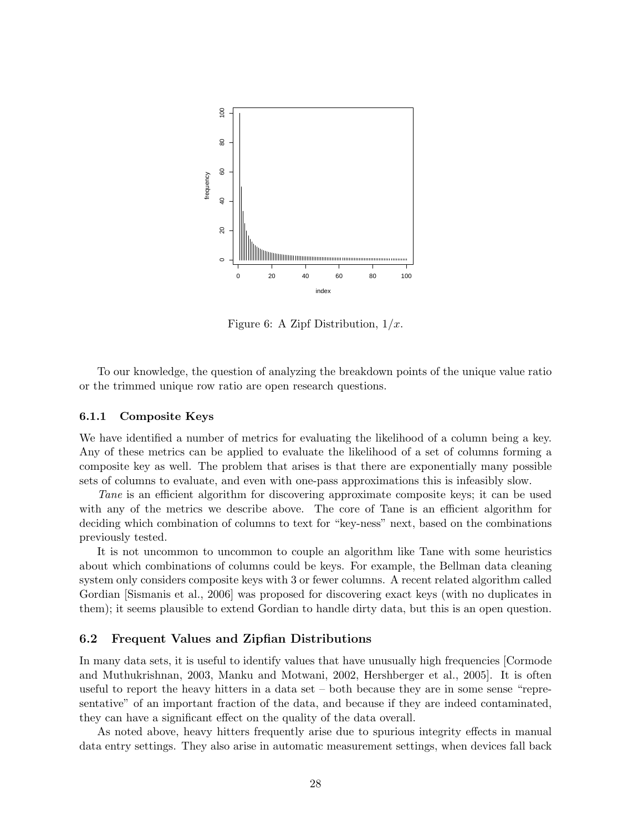

Figure 6: A Zipf Distribution,  $1/x$ .

To our knowledge, the question of analyzing the breakdown points of the unique value ratio or the trimmed unique row ratio are open research questions.

#### 6.1.1 Composite Keys

We have identified a number of metrics for evaluating the likelihood of a column being a key. Any of these metrics can be applied to evaluate the likelihood of a set of columns forming a composite key as well. The problem that arises is that there are exponentially many possible sets of columns to evaluate, and even with one-pass approximations this is infeasibly slow.

Tane is an efficient algorithm for discovering approximate composite keys; it can be used with any of the metrics we describe above. The core of Tane is an efficient algorithm for deciding which combination of columns to text for "key-ness" next, based on the combinations previously tested.

It is not uncommon to uncommon to couple an algorithm like Tane with some heuristics about which combinations of columns could be keys. For example, the Bellman data cleaning system only considers composite keys with 3 or fewer columns. A recent related algorithm called Gordian [Sismanis et al., 2006] was proposed for discovering exact keys (with no duplicates in them); it seems plausible to extend Gordian to handle dirty data, but this is an open question.

#### 6.2 Frequent Values and Zipfian Distributions

In many data sets, it is useful to identify values that have unusually high frequencies [Cormode and Muthukrishnan, 2003, Manku and Motwani, 2002, Hershberger et al., 2005]. It is often useful to report the heavy hitters in a data set – both because they are in some sense "representative" of an important fraction of the data, and because if they are indeed contaminated, they can have a significant effect on the quality of the data overall.

As noted above, heavy hitters frequently arise due to spurious integrity effects in manual data entry settings. They also arise in automatic measurement settings, when devices fall back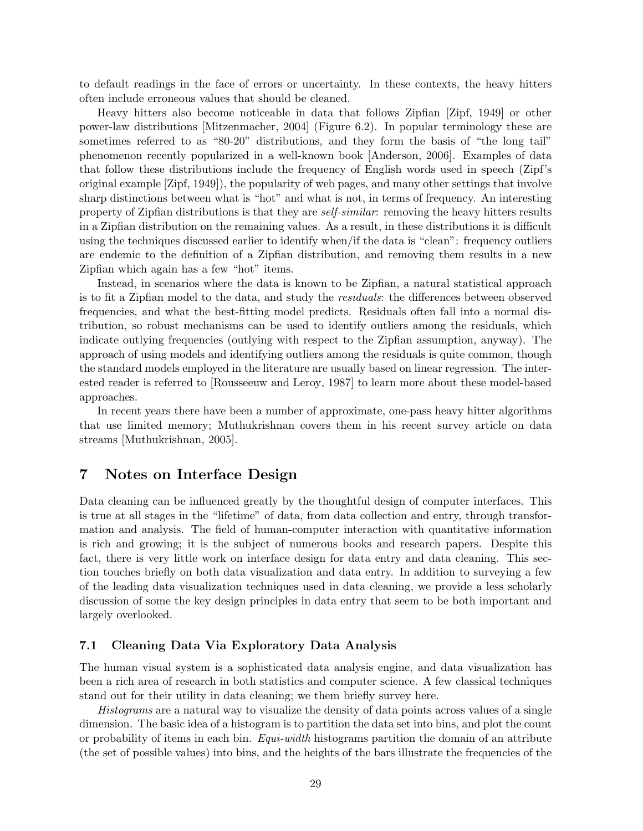to default readings in the face of errors or uncertainty. In these contexts, the heavy hitters often include erroneous values that should be cleaned.

Heavy hitters also become noticeable in data that follows Zipfian [Zipf, 1949] or other power-law distributions [Mitzenmacher, 2004] (Figure 6.2). In popular terminology these are sometimes referred to as "80-20" distributions, and they form the basis of "the long tail" phenomenon recently popularized in a well-known book [Anderson, 2006]. Examples of data that follow these distributions include the frequency of English words used in speech (Zipf's original example [Zipf, 1949]), the popularity of web pages, and many other settings that involve sharp distinctions between what is "hot" and what is not, in terms of frequency. An interesting property of Zipfian distributions is that they are *self-similar*: removing the heavy hitters results in a Zipfian distribution on the remaining values. As a result, in these distributions it is difficult using the techniques discussed earlier to identify when/if the data is "clean": frequency outliers are endemic to the definition of a Zipfian distribution, and removing them results in a new Zipfian which again has a few "hot" items.

Instead, in scenarios where the data is known to be Zipfian, a natural statistical approach is to fit a Zipfian model to the data, and study the residuals: the differences between observed frequencies, and what the best-fitting model predicts. Residuals often fall into a normal distribution, so robust mechanisms can be used to identify outliers among the residuals, which indicate outlying frequencies (outlying with respect to the Zipfian assumption, anyway). The approach of using models and identifying outliers among the residuals is quite common, though the standard models employed in the literature are usually based on linear regression. The interested reader is referred to [Rousseeuw and Leroy, 1987] to learn more about these model-based approaches.

In recent years there have been a number of approximate, one-pass heavy hitter algorithms that use limited memory; Muthukrishnan covers them in his recent survey article on data streams [Muthukrishnan, 2005].

# 7 Notes on Interface Design

Data cleaning can be influenced greatly by the thoughtful design of computer interfaces. This is true at all stages in the "lifetime" of data, from data collection and entry, through transformation and analysis. The field of human-computer interaction with quantitative information is rich and growing; it is the subject of numerous books and research papers. Despite this fact, there is very little work on interface design for data entry and data cleaning. This section touches briefly on both data visualization and data entry. In addition to surveying a few of the leading data visualization techniques used in data cleaning, we provide a less scholarly discussion of some the key design principles in data entry that seem to be both important and largely overlooked.

### 7.1 Cleaning Data Via Exploratory Data Analysis

The human visual system is a sophisticated data analysis engine, and data visualization has been a rich area of research in both statistics and computer science. A few classical techniques stand out for their utility in data cleaning; we them briefly survey here.

Histograms are a natural way to visualize the density of data points across values of a single dimension. The basic idea of a histogram is to partition the data set into bins, and plot the count or probability of items in each bin. Equi-width histograms partition the domain of an attribute (the set of possible values) into bins, and the heights of the bars illustrate the frequencies of the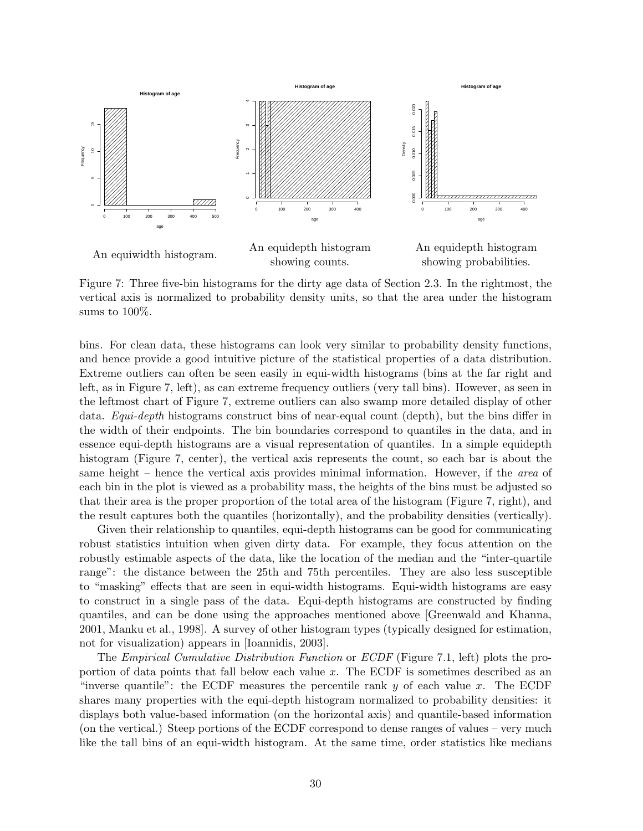

Figure 7: Three five-bin histograms for the dirty age data of Section 2.3. In the rightmost, the vertical axis is normalized to probability density units, so that the area under the histogram sums to 100%.

bins. For clean data, these histograms can look very similar to probability density functions, and hence provide a good intuitive picture of the statistical properties of a data distribution. Extreme outliers can often be seen easily in equi-width histograms (bins at the far right and left, as in Figure 7, left), as can extreme frequency outliers (very tall bins). However, as seen in the leftmost chart of Figure 7, extreme outliers can also swamp more detailed display of other data. Equi-depth histograms construct bins of near-equal count (depth), but the bins differ in the width of their endpoints. The bin boundaries correspond to quantiles in the data, and in essence equi-depth histograms are a visual representation of quantiles. In a simple equidepth histogram (Figure 7, center), the vertical axis represents the count, so each bar is about the same height – hence the vertical axis provides minimal information. However, if the area of each bin in the plot is viewed as a probability mass, the heights of the bins must be adjusted so that their area is the proper proportion of the total area of the histogram (Figure 7, right), and the result captures both the quantiles (horizontally), and the probability densities (vertically).

Given their relationship to quantiles, equi-depth histograms can be good for communicating robust statistics intuition when given dirty data. For example, they focus attention on the robustly estimable aspects of the data, like the location of the median and the "inter-quartile range": the distance between the 25th and 75th percentiles. They are also less susceptible to "masking" effects that are seen in equi-width histograms. Equi-width histograms are easy to construct in a single pass of the data. Equi-depth histograms are constructed by finding quantiles, and can be done using the approaches mentioned above [Greenwald and Khanna, 2001, Manku et al., 1998]. A survey of other histogram types (typically designed for estimation, not for visualization) appears in [Ioannidis, 2003].

The Empirical Cumulative Distribution Function or ECDF (Figure 7.1, left) plots the proportion of data points that fall below each value  $x$ . The ECDF is sometimes described as an "inverse quantile": the ECDF measures the percentile rank y of each value x. The ECDF shares many properties with the equi-depth histogram normalized to probability densities: it displays both value-based information (on the horizontal axis) and quantile-based information (on the vertical.) Steep portions of the ECDF correspond to dense ranges of values – very much like the tall bins of an equi-width histogram. At the same time, order statistics like medians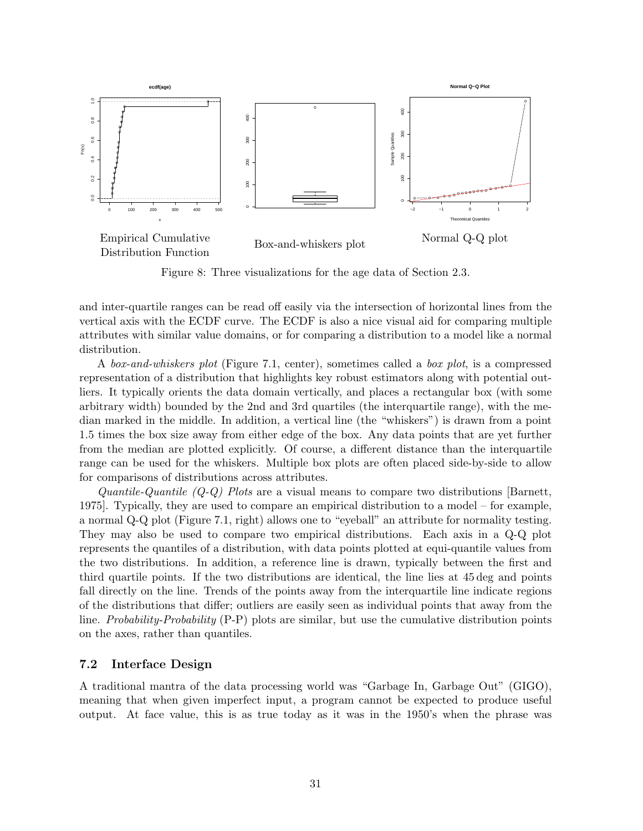

Figure 8: Three visualizations for the age data of Section 2.3.

and inter-quartile ranges can be read off easily via the intersection of horizontal lines from the vertical axis with the ECDF curve. The ECDF is also a nice visual aid for comparing multiple attributes with similar value domains, or for comparing a distribution to a model like a normal distribution.

A box-and-whiskers plot (Figure 7.1, center), sometimes called a box plot, is a compressed representation of a distribution that highlights key robust estimators along with potential outliers. It typically orients the data domain vertically, and places a rectangular box (with some arbitrary width) bounded by the 2nd and 3rd quartiles (the interquartile range), with the median marked in the middle. In addition, a vertical line (the "whiskers") is drawn from a point 1.5 times the box size away from either edge of the box. Any data points that are yet further from the median are plotted explicitly. Of course, a different distance than the interquartile range can be used for the whiskers. Multiple box plots are often placed side-by-side to allow for comparisons of distributions across attributes.

Quantile-Quantile  $(Q-Q)$  Plots are a visual means to compare two distributions [Barnett, 1975]. Typically, they are used to compare an empirical distribution to a model – for example, a normal Q-Q plot (Figure 7.1, right) allows one to "eyeball" an attribute for normality testing. They may also be used to compare two empirical distributions. Each axis in a Q-Q plot represents the quantiles of a distribution, with data points plotted at equi-quantile values from the two distributions. In addition, a reference line is drawn, typically between the first and third quartile points. If the two distributions are identical, the line lies at 45 deg and points fall directly on the line. Trends of the points away from the interquartile line indicate regions of the distributions that differ; outliers are easily seen as individual points that away from the line. Probability-Probability  $(P-P)$  plots are similar, but use the cumulative distribution points on the axes, rather than quantiles.

### 7.2 Interface Design

A traditional mantra of the data processing world was "Garbage In, Garbage Out" (GIGO), meaning that when given imperfect input, a program cannot be expected to produce useful output. At face value, this is as true today as it was in the 1950's when the phrase was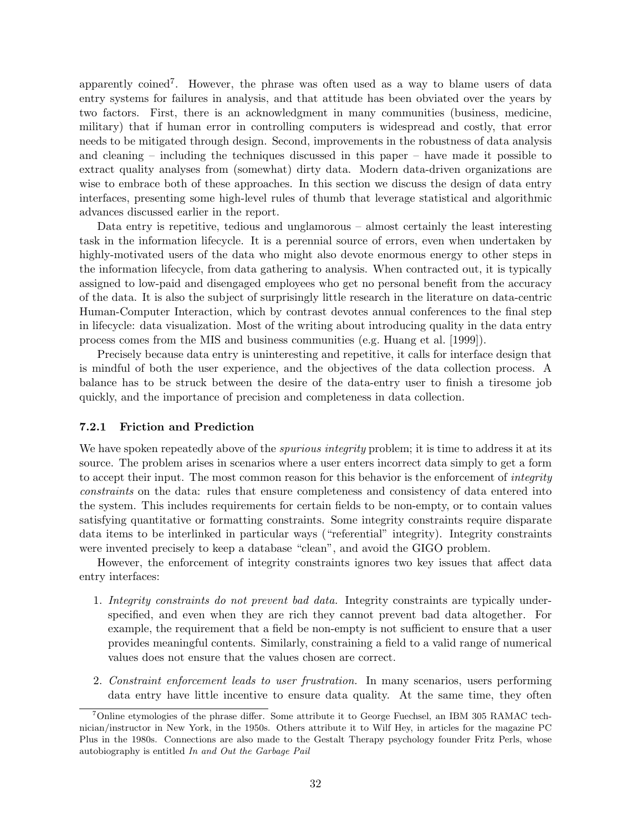apparently coined<sup>7</sup>. However, the phrase was often used as a way to blame users of data entry systems for failures in analysis, and that attitude has been obviated over the years by two factors. First, there is an acknowledgment in many communities (business, medicine, military) that if human error in controlling computers is widespread and costly, that error needs to be mitigated through design. Second, improvements in the robustness of data analysis and cleaning – including the techniques discussed in this paper – have made it possible to extract quality analyses from (somewhat) dirty data. Modern data-driven organizations are wise to embrace both of these approaches. In this section we discuss the design of data entry interfaces, presenting some high-level rules of thumb that leverage statistical and algorithmic advances discussed earlier in the report.

Data entry is repetitive, tedious and unglamorous – almost certainly the least interesting task in the information lifecycle. It is a perennial source of errors, even when undertaken by highly-motivated users of the data who might also devote enormous energy to other steps in the information lifecycle, from data gathering to analysis. When contracted out, it is typically assigned to low-paid and disengaged employees who get no personal benefit from the accuracy of the data. It is also the subject of surprisingly little research in the literature on data-centric Human-Computer Interaction, which by contrast devotes annual conferences to the final step in lifecycle: data visualization. Most of the writing about introducing quality in the data entry process comes from the MIS and business communities (e.g. Huang et al. [1999]).

Precisely because data entry is uninteresting and repetitive, it calls for interface design that is mindful of both the user experience, and the objectives of the data collection process. A balance has to be struck between the desire of the data-entry user to finish a tiresome job quickly, and the importance of precision and completeness in data collection.

#### 7.2.1 Friction and Prediction

We have spoken repeatedly above of the *spurious integrity* problem; it is time to address it at its source. The problem arises in scenarios where a user enters incorrect data simply to get a form to accept their input. The most common reason for this behavior is the enforcement of *integrity* constraints on the data: rules that ensure completeness and consistency of data entered into the system. This includes requirements for certain fields to be non-empty, or to contain values satisfying quantitative or formatting constraints. Some integrity constraints require disparate data items to be interlinked in particular ways ("referential" integrity). Integrity constraints were invented precisely to keep a database "clean", and avoid the GIGO problem.

However, the enforcement of integrity constraints ignores two key issues that affect data entry interfaces:

- 1. Integrity constraints do not prevent bad data. Integrity constraints are typically underspecified, and even when they are rich they cannot prevent bad data altogether. For example, the requirement that a field be non-empty is not sufficient to ensure that a user provides meaningful contents. Similarly, constraining a field to a valid range of numerical values does not ensure that the values chosen are correct.
- 2. Constraint enforcement leads to user frustration. In many scenarios, users performing data entry have little incentive to ensure data quality. At the same time, they often

<sup>7</sup>Online etymologies of the phrase differ. Some attribute it to George Fuechsel, an IBM 305 RAMAC technician/instructor in New York, in the 1950s. Others attribute it to Wilf Hey, in articles for the magazine PC Plus in the 1980s. Connections are also made to the Gestalt Therapy psychology founder Fritz Perls, whose autobiography is entitled In and Out the Garbage Pail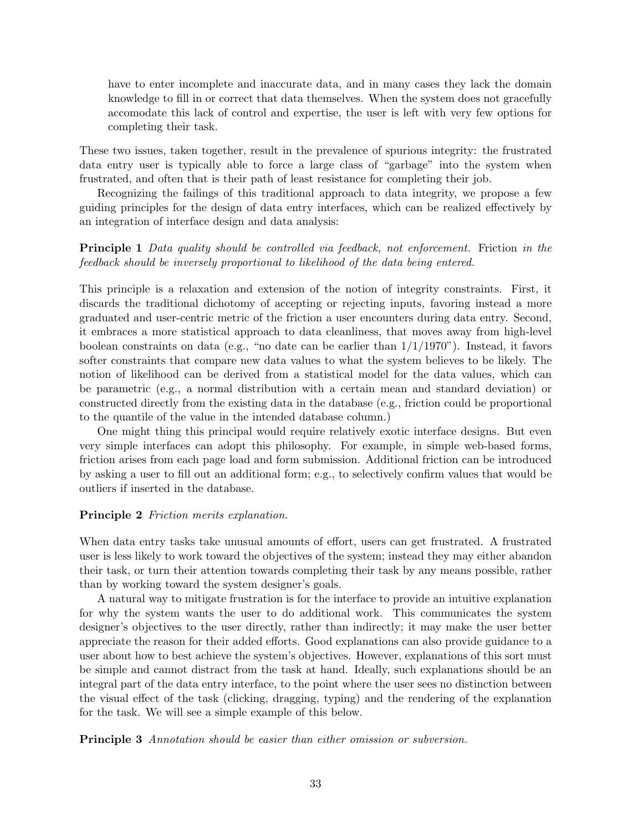have to enter incomplete and inaccurate data, and in many cases they lack the domain knowledge to fill in or correct that data themselves. When the system does not gracefully accomodate this lack of control and expertise, the user is left with very few options for completing their task.

These two issues, taken together, result in the prevalence of spurious integrity: the frustrated data entry user is typically able to force a large class of "garbage" into the system when frustrated, and often that is their path of least resistance for completing their job.

Recognizing the failings of this traditional approach to data integrity, we propose a few guiding principles for the design of data entry interfaces, which can be realized effectively by an integration of interface design and data analysis:

### Principle 1 Data quality should be controlled via feedback, not enforcement. Friction in the feedback should be inversely proportional to likelihood of the data being entered.

This principle is a relaxation and extension of the notion of integrity constraints. First, it discards the traditional dichotomy of accepting or rejecting inputs, favoring instead a more graduated and user-centric metric of the friction a user encounters during data entry. Second, it embraces a more statistical approach to data cleanliness, that moves away from high-level boolean constraints on data (e.g., "no date can be earlier than  $1/1/1970$ "). Instead, it favors softer constraints that compare new data values to what the system believes to be likely. The notion of likelihood can be derived from a statistical model for the data values, which can be parametric (e.g., a normal distribution with a certain mean and standard deviation) or constructed directly from the existing data in the database (e.g., friction could be proportional to the quantile of the value in the intended database column.)

One might thing this principal would require relatively exotic interface designs. But even very simple interfaces can adopt this philosophy. For example, in simple web-based forms, friction arises from each page load and form submission. Additional friction can be introduced by asking a user to fill out an additional form; e.g., to selectively confirm values that would be outliers if inserted in the database.

### Principle 2 Friction merits explanation.

When data entry tasks take unusual amounts of effort, users can get frustrated. A frustrated user is less likely to work toward the objectives of the system; instead they may either abandon their task, or turn their attention towards completing their task by any means possible, rather than by working toward the system designer's goals.

A natural way to mitigate frustration is for the interface to provide an intuitive explanation for why the system wants the user to do additional work. This communicates the system designer's objectives to the user directly, rather than indirectly; it may make the user better appreciate the reason for their added efforts. Good explanations can also provide guidance to a user about how to best achieve the system's objectives. However, explanations of this sort must be simple and cannot distract from the task at hand. Ideally, such explanations should be an integral part of the data entry interface, to the point where the user sees no distinction between the visual effect of the task (clicking, dragging, typing) and the rendering of the explanation for the task. We will see a simple example of this below.

**Principle 3** Annotation should be easier than either omission or subversion.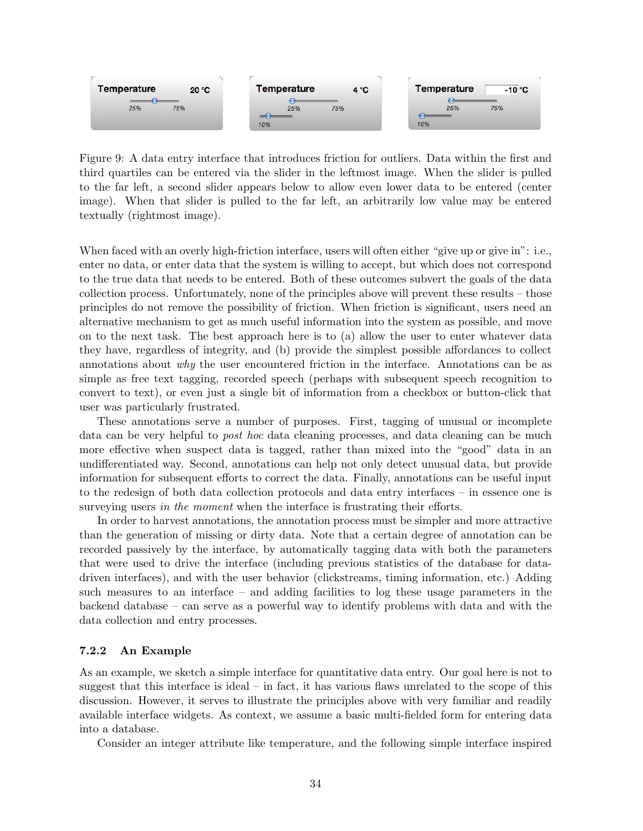

Figure 9: A data entry interface that introduces friction for outliers. Data within the first and third quartiles can be entered via the slider in the leftmost image. When the slider is pulled to the far left, a second slider appears below to allow even lower data to be entered (center image). When that slider is pulled to the far left, an arbitrarily low value may be entered textually (rightmost image).

When faced with an overly high-friction interface, users will often either "give up or give in": i.e., enter no data, or enter data that the system is willing to accept, but which does not correspond to the true data that needs to be entered. Both of these outcomes subvert the goals of the data collection process. Unfortunately, none of the principles above will prevent these results – those principles do not remove the possibility of friction. When friction is significant, users need an alternative mechanism to get as much useful information into the system as possible, and move on to the next task. The best approach here is to (a) allow the user to enter whatever data they have, regardless of integrity, and (b) provide the simplest possible affordances to collect annotations about why the user encountered friction in the interface. Annotations can be as simple as free text tagging, recorded speech (perhaps with subsequent speech recognition to convert to text), or even just a single bit of information from a checkbox or button-click that user was particularly frustrated.

These annotations serve a number of purposes. First, tagging of unusual or incomplete data can be very helpful to post hoc data cleaning processes, and data cleaning can be much more effective when suspect data is tagged, rather than mixed into the "good" data in an undifferentiated way. Second, annotations can help not only detect unusual data, but provide information for subsequent efforts to correct the data. Finally, annotations can be useful input to the redesign of both data collection protocols and data entry interfaces – in essence one is surveying users in the moment when the interface is frustrating their efforts.

In order to harvest annotations, the annotation process must be simpler and more attractive than the generation of missing or dirty data. Note that a certain degree of annotation can be recorded passively by the interface, by automatically tagging data with both the parameters that were used to drive the interface (including previous statistics of the database for datadriven interfaces), and with the user behavior (clickstreams, timing information, etc.) Adding such measures to an interface – and adding facilities to log these usage parameters in the backend database – can serve as a powerful way to identify problems with data and with the data collection and entry processes.

#### 7.2.2 An Example

As an example, we sketch a simple interface for quantitative data entry. Our goal here is not to suggest that this interface is ideal – in fact, it has various flaws unrelated to the scope of this discussion. However, it serves to illustrate the principles above with very familiar and readily available interface widgets. As context, we assume a basic multi-fielded form for entering data into a database.

Consider an integer attribute like temperature, and the following simple interface inspired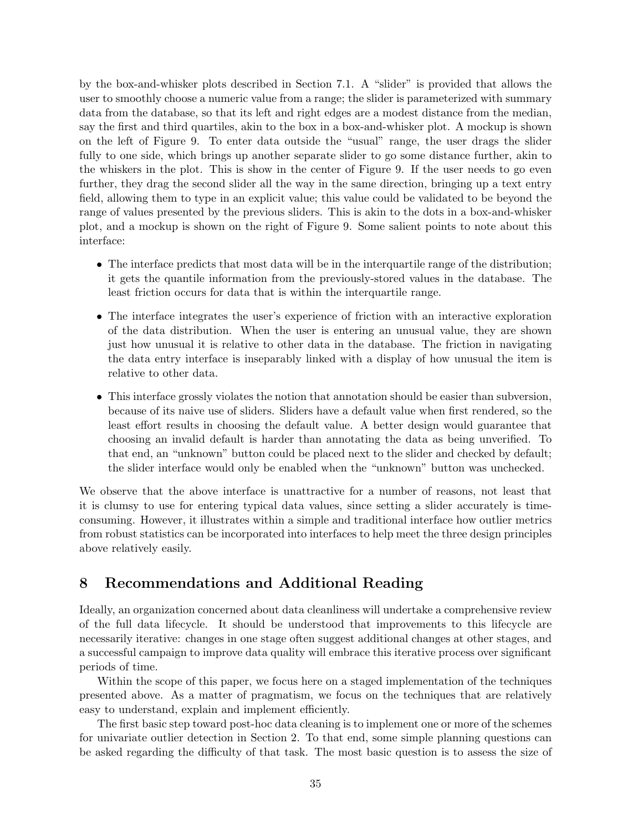by the box-and-whisker plots described in Section 7.1. A "slider" is provided that allows the user to smoothly choose a numeric value from a range; the slider is parameterized with summary data from the database, so that its left and right edges are a modest distance from the median, say the first and third quartiles, akin to the box in a box-and-whisker plot. A mockup is shown on the left of Figure 9. To enter data outside the "usual" range, the user drags the slider fully to one side, which brings up another separate slider to go some distance further, akin to the whiskers in the plot. This is show in the center of Figure 9. If the user needs to go even further, they drag the second slider all the way in the same direction, bringing up a text entry field, allowing them to type in an explicit value; this value could be validated to be beyond the range of values presented by the previous sliders. This is akin to the dots in a box-and-whisker plot, and a mockup is shown on the right of Figure 9. Some salient points to note about this interface:

- The interface predicts that most data will be in the interquartile range of the distribution; it gets the quantile information from the previously-stored values in the database. The least friction occurs for data that is within the interquartile range.
- The interface integrates the user's experience of friction with an interactive exploration of the data distribution. When the user is entering an unusual value, they are shown just how unusual it is relative to other data in the database. The friction in navigating the data entry interface is inseparably linked with a display of how unusual the item is relative to other data.
- This interface grossly violates the notion that annotation should be easier than subversion, because of its naive use of sliders. Sliders have a default value when first rendered, so the least effort results in choosing the default value. A better design would guarantee that choosing an invalid default is harder than annotating the data as being unverified. To that end, an "unknown" button could be placed next to the slider and checked by default; the slider interface would only be enabled when the "unknown" button was unchecked.

We observe that the above interface is unattractive for a number of reasons, not least that it is clumsy to use for entering typical data values, since setting a slider accurately is timeconsuming. However, it illustrates within a simple and traditional interface how outlier metrics from robust statistics can be incorporated into interfaces to help meet the three design principles above relatively easily.

# 8 Recommendations and Additional Reading

Ideally, an organization concerned about data cleanliness will undertake a comprehensive review of the full data lifecycle. It should be understood that improvements to this lifecycle are necessarily iterative: changes in one stage often suggest additional changes at other stages, and a successful campaign to improve data quality will embrace this iterative process over significant periods of time.

Within the scope of this paper, we focus here on a staged implementation of the techniques presented above. As a matter of pragmatism, we focus on the techniques that are relatively easy to understand, explain and implement efficiently.

The first basic step toward post-hoc data cleaning is to implement one or more of the schemes for univariate outlier detection in Section 2. To that end, some simple planning questions can be asked regarding the difficulty of that task. The most basic question is to assess the size of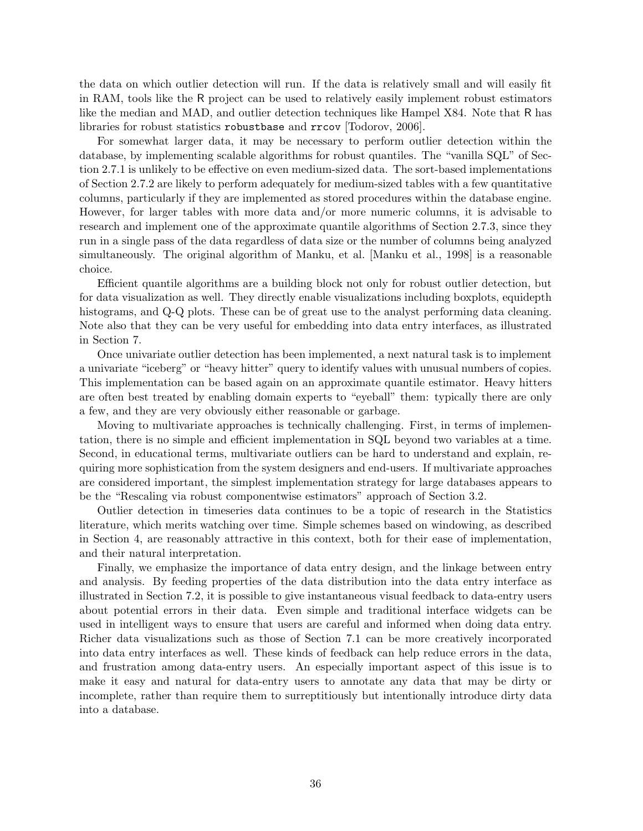the data on which outlier detection will run. If the data is relatively small and will easily fit in RAM, tools like the R project can be used to relatively easily implement robust estimators like the median and MAD, and outlier detection techniques like Hampel X84. Note that R has libraries for robust statistics robustbase and rrcov [Todorov, 2006].

For somewhat larger data, it may be necessary to perform outlier detection within the database, by implementing scalable algorithms for robust quantiles. The "vanilla SQL" of Section 2.7.1 is unlikely to be effective on even medium-sized data. The sort-based implementations of Section 2.7.2 are likely to perform adequately for medium-sized tables with a few quantitative columns, particularly if they are implemented as stored procedures within the database engine. However, for larger tables with more data and/or more numeric columns, it is advisable to research and implement one of the approximate quantile algorithms of Section 2.7.3, since they run in a single pass of the data regardless of data size or the number of columns being analyzed simultaneously. The original algorithm of Manku, et al. [Manku et al., 1998] is a reasonable choice.

Efficient quantile algorithms are a building block not only for robust outlier detection, but for data visualization as well. They directly enable visualizations including boxplots, equidepth histograms, and Q-Q plots. These can be of great use to the analyst performing data cleaning. Note also that they can be very useful for embedding into data entry interfaces, as illustrated in Section 7.

Once univariate outlier detection has been implemented, a next natural task is to implement a univariate "iceberg" or "heavy hitter" query to identify values with unusual numbers of copies. This implementation can be based again on an approximate quantile estimator. Heavy hitters are often best treated by enabling domain experts to "eyeball" them: typically there are only a few, and they are very obviously either reasonable or garbage.

Moving to multivariate approaches is technically challenging. First, in terms of implementation, there is no simple and efficient implementation in SQL beyond two variables at a time. Second, in educational terms, multivariate outliers can be hard to understand and explain, requiring more sophistication from the system designers and end-users. If multivariate approaches are considered important, the simplest implementation strategy for large databases appears to be the "Rescaling via robust componentwise estimators" approach of Section 3.2.

Outlier detection in timeseries data continues to be a topic of research in the Statistics literature, which merits watching over time. Simple schemes based on windowing, as described in Section 4, are reasonably attractive in this context, both for their ease of implementation, and their natural interpretation.

Finally, we emphasize the importance of data entry design, and the linkage between entry and analysis. By feeding properties of the data distribution into the data entry interface as illustrated in Section 7.2, it is possible to give instantaneous visual feedback to data-entry users about potential errors in their data. Even simple and traditional interface widgets can be used in intelligent ways to ensure that users are careful and informed when doing data entry. Richer data visualizations such as those of Section 7.1 can be more creatively incorporated into data entry interfaces as well. These kinds of feedback can help reduce errors in the data, and frustration among data-entry users. An especially important aspect of this issue is to make it easy and natural for data-entry users to annotate any data that may be dirty or incomplete, rather than require them to surreptitiously but intentionally introduce dirty data into a database.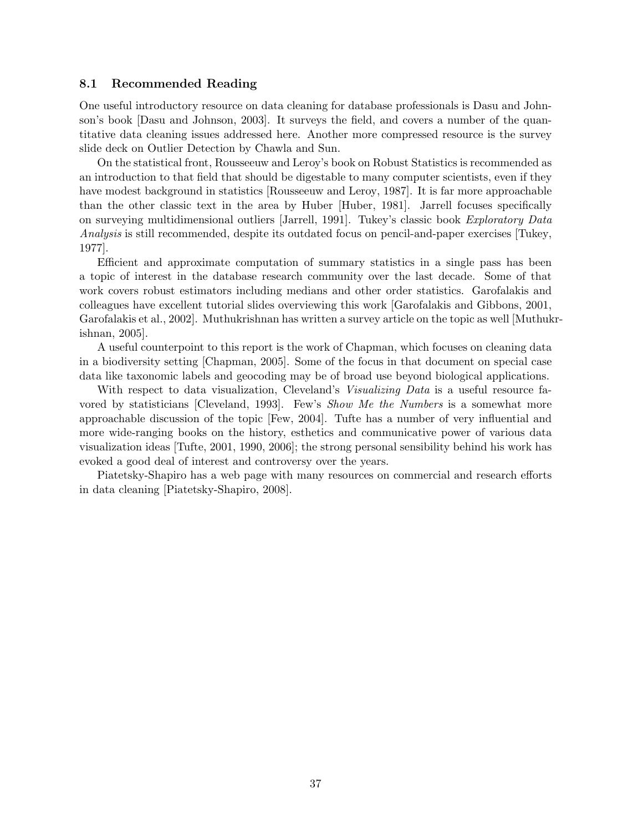#### 8.1 Recommended Reading

One useful introductory resource on data cleaning for database professionals is Dasu and Johnson's book [Dasu and Johnson, 2003]. It surveys the field, and covers a number of the quantitative data cleaning issues addressed here. Another more compressed resource is the survey slide deck on Outlier Detection by Chawla and Sun.

On the statistical front, Rousseeuw and Leroy's book on Robust Statistics is recommended as an introduction to that field that should be digestable to many computer scientists, even if they have modest background in statistics [Rousseeuw and Leroy, 1987]. It is far more approachable than the other classic text in the area by Huber [Huber, 1981]. Jarrell focuses specifically on surveying multidimensional outliers [Jarrell, 1991]. Tukey's classic book Exploratory Data Analysis is still recommended, despite its outdated focus on pencil-and-paper exercises [Tukey, 1977].

Efficient and approximate computation of summary statistics in a single pass has been a topic of interest in the database research community over the last decade. Some of that work covers robust estimators including medians and other order statistics. Garofalakis and colleagues have excellent tutorial slides overviewing this work [Garofalakis and Gibbons, 2001, Garofalakis et al., 2002]. Muthukrishnan has written a survey article on the topic as well [Muthukrishnan, 2005].

A useful counterpoint to this report is the work of Chapman, which focuses on cleaning data in a biodiversity setting [Chapman, 2005]. Some of the focus in that document on special case data like taxonomic labels and geocoding may be of broad use beyond biological applications.

With respect to data visualization, Cleveland's *Visualizing Data* is a useful resource favored by statisticians [Cleveland, 1993]. Few's Show Me the Numbers is a somewhat more approachable discussion of the topic [Few, 2004]. Tufte has a number of very influential and more wide-ranging books on the history, esthetics and communicative power of various data visualization ideas [Tufte, 2001, 1990, 2006]; the strong personal sensibility behind his work has evoked a good deal of interest and controversy over the years.

Piatetsky-Shapiro has a web page with many resources on commercial and research efforts in data cleaning [Piatetsky-Shapiro, 2008].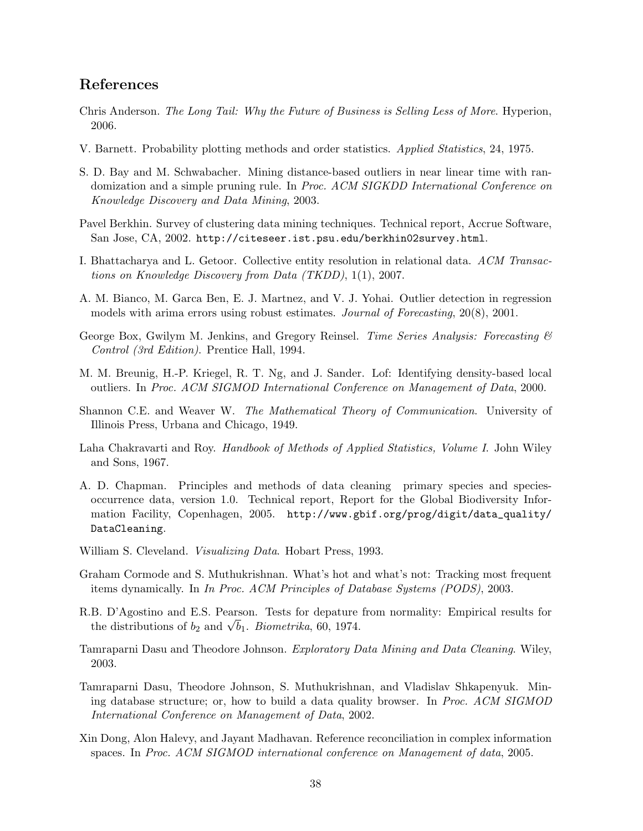# References

- Chris Anderson. The Long Tail: Why the Future of Business is Selling Less of More. Hyperion, 2006.
- V. Barnett. Probability plotting methods and order statistics. Applied Statistics, 24, 1975.
- S. D. Bay and M. Schwabacher. Mining distance-based outliers in near linear time with randomization and a simple pruning rule. In Proc. ACM SIGKDD International Conference on Knowledge Discovery and Data Mining, 2003.
- Pavel Berkhin. Survey of clustering data mining techniques. Technical report, Accrue Software, San Jose, CA, 2002. http://citeseer.ist.psu.edu/berkhin02survey.html.
- I. Bhattacharya and L. Getoor. Collective entity resolution in relational data. ACM Transactions on Knowledge Discovery from Data (TKDD), 1(1), 2007.
- A. M. Bianco, M. Garca Ben, E. J. Martnez, and V. J. Yohai. Outlier detection in regression models with arima errors using robust estimates. Journal of Forecasting, 20(8), 2001.
- George Box, Gwilym M. Jenkins, and Gregory Reinsel. *Time Series Analysis: Forecasting*  $\mathcal{B}$ Control (3rd Edition). Prentice Hall, 1994.
- M. M. Breunig, H.-P. Kriegel, R. T. Ng, and J. Sander. Lof: Identifying density-based local outliers. In Proc. ACM SIGMOD International Conference on Management of Data, 2000.
- Shannon C.E. and Weaver W. The Mathematical Theory of Communication. University of Illinois Press, Urbana and Chicago, 1949.
- Laha Chakravarti and Roy. Handbook of Methods of Applied Statistics, Volume I. John Wiley and Sons, 1967.
- A. D. Chapman. Principles and methods of data cleaning primary species and speciesoccurrence data, version 1.0. Technical report, Report for the Global Biodiversity Information Facility, Copenhagen, 2005. http://www.gbif.org/prog/digit/data\_quality/ DataCleaning.
- William S. Cleveland. Visualizing Data. Hobart Press, 1993.
- Graham Cormode and S. Muthukrishnan. What's hot and what's not: Tracking most frequent items dynamically. In In Proc. ACM Principles of Database Systems (PODS), 2003.
- R.B. D'Agostino and E.S. Pearson. Tests for depature from normality: Empirical results for B. D'Agostino and E.S. Pearson. Tests for departure the distributions of  $b_2$  and  $\sqrt{b_1}$ . Biometrika, 60, 1974.
- Tamraparni Dasu and Theodore Johnson. Exploratory Data Mining and Data Cleaning. Wiley, 2003.
- Tamraparni Dasu, Theodore Johnson, S. Muthukrishnan, and Vladislav Shkapenyuk. Mining database structure; or, how to build a data quality browser. In Proc. ACM SIGMOD International Conference on Management of Data, 2002.
- Xin Dong, Alon Halevy, and Jayant Madhavan. Reference reconciliation in complex information spaces. In Proc. ACM SIGMOD international conference on Management of data, 2005.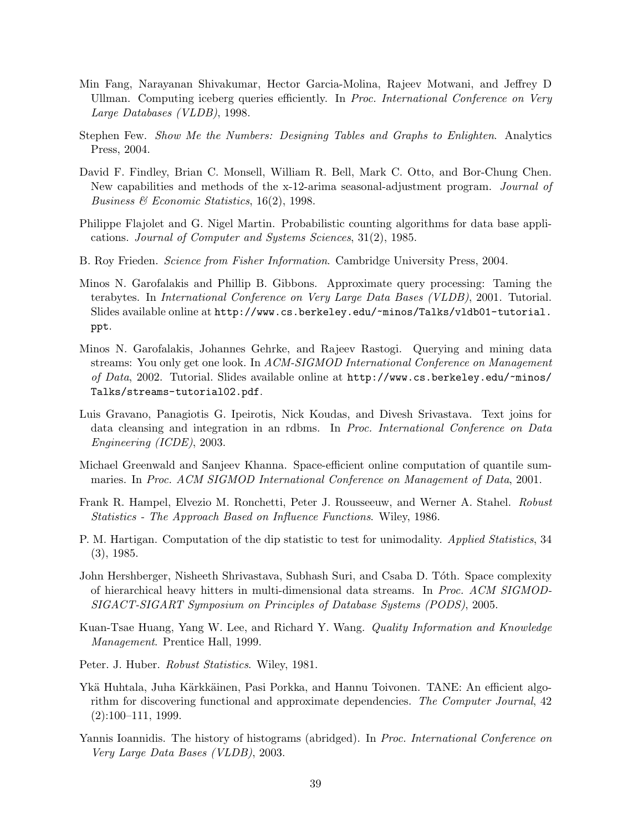- Min Fang, Narayanan Shivakumar, Hector Garcia-Molina, Rajeev Motwani, and Jeffrey D Ullman. Computing iceberg queries efficiently. In Proc. International Conference on Very Large Databases (VLDB), 1998.
- Stephen Few. Show Me the Numbers: Designing Tables and Graphs to Enlighten. Analytics Press, 2004.
- David F. Findley, Brian C. Monsell, William R. Bell, Mark C. Otto, and Bor-Chung Chen. New capabilities and methods of the x-12-arima seasonal-adjustment program. Journal of Business & Economic Statistics, 16(2), 1998.
- Philippe Flajolet and G. Nigel Martin. Probabilistic counting algorithms for data base applications. Journal of Computer and Systems Sciences, 31(2), 1985.
- B. Roy Frieden. Science from Fisher Information. Cambridge University Press, 2004.
- Minos N. Garofalakis and Phillip B. Gibbons. Approximate query processing: Taming the terabytes. In International Conference on Very Large Data Bases (VLDB), 2001. Tutorial. Slides available online at http://www.cs.berkeley.edu/~minos/Talks/vldb01-tutorial. ppt.
- Minos N. Garofalakis, Johannes Gehrke, and Rajeev Rastogi. Querying and mining data streams: You only get one look. In ACM-SIGMOD International Conference on Management of Data, 2002. Tutorial. Slides available online at http://www.cs.berkeley.edu/~minos/ Talks/streams-tutorial02.pdf.
- Luis Gravano, Panagiotis G. Ipeirotis, Nick Koudas, and Divesh Srivastava. Text joins for data cleansing and integration in an rdbms. In Proc. International Conference on Data Engineering (ICDE), 2003.
- Michael Greenwald and Sanjeev Khanna. Space-efficient online computation of quantile summaries. In Proc. ACM SIGMOD International Conference on Management of Data, 2001.
- Frank R. Hampel, Elvezio M. Ronchetti, Peter J. Rousseeuw, and Werner A. Stahel. Robust Statistics - The Approach Based on Influence Functions. Wiley, 1986.
- P. M. Hartigan. Computation of the dip statistic to test for unimodality. Applied Statistics, 34 (3), 1985.
- John Hershberger, Nisheeth Shrivastava, Subhash Suri, and Csaba D. Tóth. Space complexity of hierarchical heavy hitters in multi-dimensional data streams. In Proc. ACM SIGMOD-SIGACT-SIGART Symposium on Principles of Database Systems (PODS), 2005.
- Kuan-Tsae Huang, Yang W. Lee, and Richard Y. Wang. Quality Information and Knowledge Management. Prentice Hall, 1999.
- Peter. J. Huber. Robust Statistics. Wiley, 1981.
- Ykä Huhtala, Juha Kärkkäinen, Pasi Porkka, and Hannu Toivonen. TANE: An efficient algorithm for discovering functional and approximate dependencies. The Computer Journal, 42 (2):100–111, 1999.
- Yannis Ioannidis. The history of histograms (abridged). In *Proc. International Conference on* Very Large Data Bases (VLDB), 2003.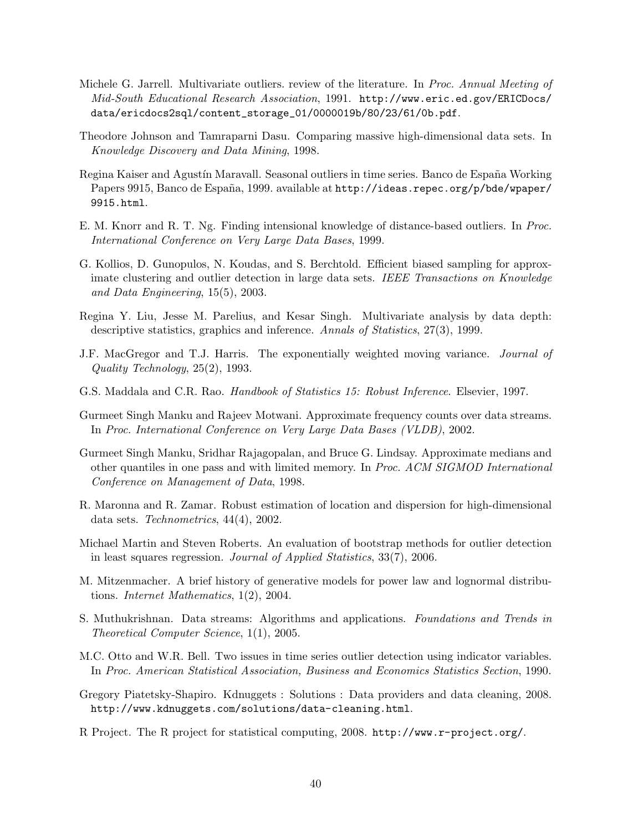- Michele G. Jarrell. Multivariate outliers. review of the literature. In Proc. Annual Meeting of Mid-South Educational Research Association, 1991. http://www.eric.ed.gov/ERICDocs/ data/ericdocs2sql/content\_storage\_01/0000019b/80/23/61/0b.pdf.
- Theodore Johnson and Tamraparni Dasu. Comparing massive high-dimensional data sets. In Knowledge Discovery and Data Mining, 1998.
- Regina Kaiser and Agustín Maravall. Seasonal outliers in time series. Banco de España Working Papers 9915, Banco de España, 1999. available at http://ideas.repec.org/p/bde/wpaper/ 9915.html.
- E. M. Knorr and R. T. Ng. Finding intensional knowledge of distance-based outliers. In Proc. International Conference on Very Large Data Bases, 1999.
- G. Kollios, D. Gunopulos, N. Koudas, and S. Berchtold. Efficient biased sampling for approximate clustering and outlier detection in large data sets. IEEE Transactions on Knowledge and Data Engineering, 15(5), 2003.
- Regina Y. Liu, Jesse M. Parelius, and Kesar Singh. Multivariate analysis by data depth: descriptive statistics, graphics and inference. Annals of Statistics, 27(3), 1999.
- J.F. MacGregor and T.J. Harris. The exponentially weighted moving variance. Journal of Quality Technology, 25(2), 1993.
- G.S. Maddala and C.R. Rao. Handbook of Statistics 15: Robust Inference. Elsevier, 1997.
- Gurmeet Singh Manku and Rajeev Motwani. Approximate frequency counts over data streams. In Proc. International Conference on Very Large Data Bases (VLDB), 2002.
- Gurmeet Singh Manku, Sridhar Rajagopalan, and Bruce G. Lindsay. Approximate medians and other quantiles in one pass and with limited memory. In Proc. ACM SIGMOD International Conference on Management of Data, 1998.
- R. Maronna and R. Zamar. Robust estimation of location and dispersion for high-dimensional data sets. Technometrics, 44(4), 2002.
- Michael Martin and Steven Roberts. An evaluation of bootstrap methods for outlier detection in least squares regression. Journal of Applied Statistics, 33(7), 2006.
- M. Mitzenmacher. A brief history of generative models for power law and lognormal distributions. Internet Mathematics, 1(2), 2004.
- S. Muthukrishnan. Data streams: Algorithms and applications. Foundations and Trends in Theoretical Computer Science, 1(1), 2005.
- M.C. Otto and W.R. Bell. Two issues in time series outlier detection using indicator variables. In Proc. American Statistical Association, Business and Economics Statistics Section, 1990.
- Gregory Piatetsky-Shapiro. Kdnuggets : Solutions : Data providers and data cleaning, 2008. http://www.kdnuggets.com/solutions/data-cleaning.html.
- R Project. The R project for statistical computing, 2008. http://www.r-project.org/.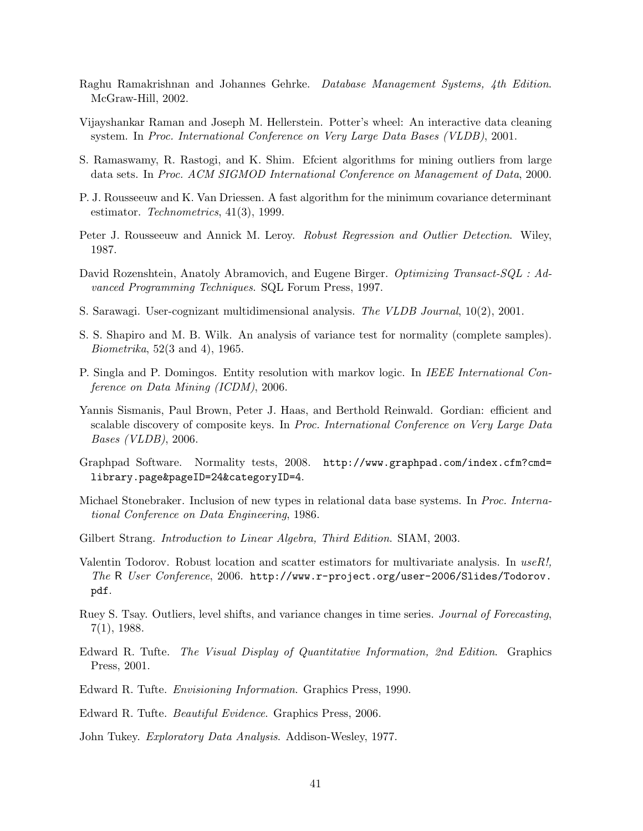- Raghu Ramakrishnan and Johannes Gehrke. Database Management Systems, 4th Edition. McGraw-Hill, 2002.
- Vijayshankar Raman and Joseph M. Hellerstein. Potter's wheel: An interactive data cleaning system. In Proc. International Conference on Very Large Data Bases (VLDB), 2001.
- S. Ramaswamy, R. Rastogi, and K. Shim. Efcient algorithms for mining outliers from large data sets. In Proc. ACM SIGMOD International Conference on Management of Data, 2000.
- P. J. Rousseeuw and K. Van Driessen. A fast algorithm for the minimum covariance determinant estimator. Technometrics, 41(3), 1999.
- Peter J. Rousseeuw and Annick M. Leroy. Robust Regression and Outlier Detection. Wiley, 1987.
- David Rozenshtein, Anatoly Abramovich, and Eugene Birger. *Optimizing Transact-SQL : Ad*vanced Programming Techniques. SQL Forum Press, 1997.
- S. Sarawagi. User-cognizant multidimensional analysis. The VLDB Journal, 10(2), 2001.
- S. S. Shapiro and M. B. Wilk. An analysis of variance test for normality (complete samples). Biometrika, 52(3 and 4), 1965.
- P. Singla and P. Domingos. Entity resolution with markov logic. In IEEE International Conference on Data Mining (ICDM), 2006.
- Yannis Sismanis, Paul Brown, Peter J. Haas, and Berthold Reinwald. Gordian: efficient and scalable discovery of composite keys. In Proc. International Conference on Very Large Data Bases (VLDB), 2006.
- Graphpad Software. Normality tests, 2008. http://www.graphpad.com/index.cfm?cmd= library.page&pageID=24&categoryID=4.
- Michael Stonebraker. Inclusion of new types in relational data base systems. In *Proc. Interna*tional Conference on Data Engineering, 1986.
- Gilbert Strang. Introduction to Linear Algebra, Third Edition. SIAM, 2003.
- Valentin Todorov. Robust location and scatter estimators for multivariate analysis. In useR!, The R User Conference, 2006. http://www.r-project.org/user-2006/Slides/Todorov. pdf.
- Ruey S. Tsay. Outliers, level shifts, and variance changes in time series. Journal of Forecasting, 7(1), 1988.
- Edward R. Tufte. The Visual Display of Quantitative Information, 2nd Edition. Graphics Press, 2001.
- Edward R. Tufte. Envisioning Information. Graphics Press, 1990.
- Edward R. Tufte. Beautiful Evidence. Graphics Press, 2006.
- John Tukey. Exploratory Data Analysis. Addison-Wesley, 1977.